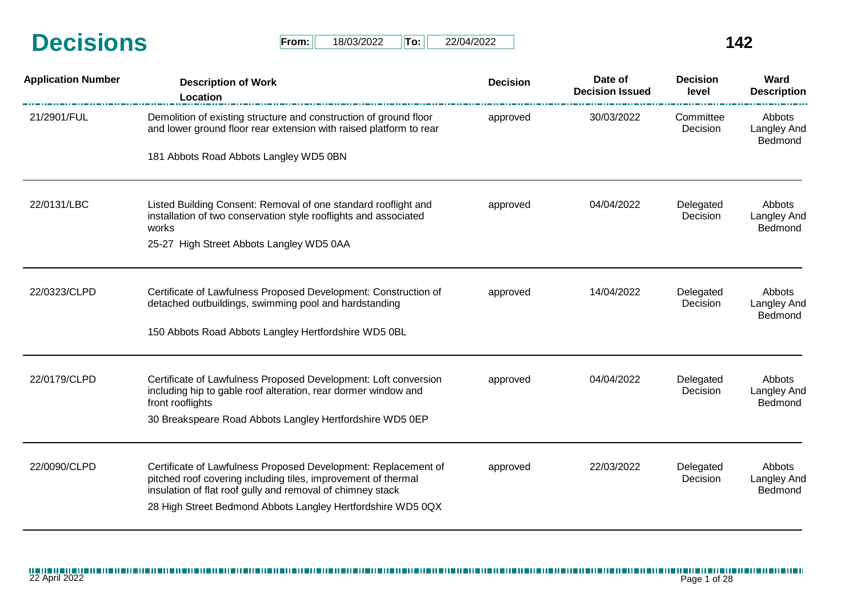| <b>Decisions</b> | From: | 18/03/2022 | Tor | 22/04/2022 |  |
|------------------|-------|------------|-----|------------|--|
|                  |       |            |     |            |  |

| $From: \Box$ | 18/03/2022 | lTo:∶ | 22/04/2022 |
|--------------|------------|-------|------------|
|--------------|------------|-------|------------|

| <b>Application Number</b> | <b>Description of Work</b><br><b>Location</b>                                                                                                                                                                                                                | <b>Decision</b> | Date of<br><b>Decision Issued</b> | <b>Decision</b><br>level | Ward<br><b>Description</b>              |
|---------------------------|--------------------------------------------------------------------------------------------------------------------------------------------------------------------------------------------------------------------------------------------------------------|-----------------|-----------------------------------|--------------------------|-----------------------------------------|
| 21/2901/FUL               | Demolition of existing structure and construction of ground floor<br>and lower ground floor rear extension with raised platform to rear                                                                                                                      | approved        | 30/03/2022                        | Committee<br>Decision    | Abbots<br>Langley And<br>Bedmond        |
|                           | 181 Abbots Road Abbots Langley WD5 0BN                                                                                                                                                                                                                       |                 |                                   |                          |                                         |
| 22/0131/LBC               | Listed Building Consent: Removal of one standard rooflight and<br>installation of two conservation style rooflights and associated<br>works                                                                                                                  | approved        | 04/04/2022                        | Delegated<br>Decision    | Abbots<br>Langley And<br>Bedmond        |
|                           | 25-27 High Street Abbots Langley WD5 0AA                                                                                                                                                                                                                     |                 |                                   |                          |                                         |
| 22/0323/CLPD              | Certificate of Lawfulness Proposed Development: Construction of<br>detached outbuildings, swimming pool and hardstanding                                                                                                                                     | approved        | 14/04/2022                        | Delegated<br>Decision    | Abbots<br><b>Langley And</b><br>Bedmond |
|                           | 150 Abbots Road Abbots Langley Hertfordshire WD5 0BL                                                                                                                                                                                                         |                 |                                   |                          |                                         |
| 22/0179/CLPD              | Certificate of Lawfulness Proposed Development: Loft conversion<br>including hip to gable roof alteration, rear dormer window and<br>front rooflights<br>30 Breakspeare Road Abbots Langley Hertfordshire WD5 0EP                                            | approved        | 04/04/2022                        | Delegated<br>Decision    | Abbots<br><b>Langley And</b><br>Bedmond |
| 22/0090/CLPD              | Certificate of Lawfulness Proposed Development: Replacement of<br>pitched roof covering including tiles, improvement of thermal<br>insulation of flat roof gully and removal of chimney stack<br>28 High Street Bedmond Abbots Langley Hertfordshire WD5 0QX | approved        | 22/03/2022                        | Delegated<br>Decision    | Abbots<br><b>Langley And</b><br>Bedmond |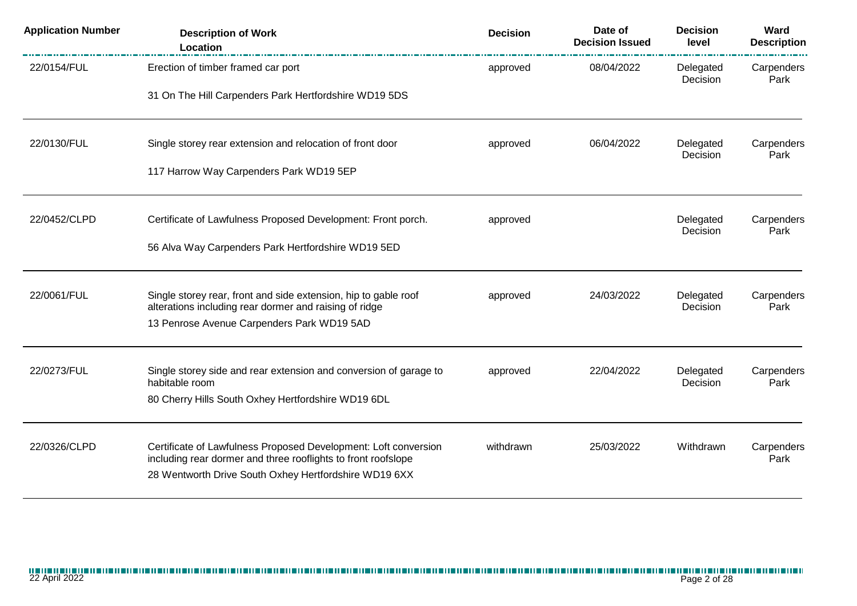| <b>Application Number</b> | <b>Description of Work</b><br>Location                                                                                           | <b>Decision</b> | Date of<br><b>Decision Issued</b> | <b>Decision</b><br>level | Ward<br><b>Description</b> |
|---------------------------|----------------------------------------------------------------------------------------------------------------------------------|-----------------|-----------------------------------|--------------------------|----------------------------|
| 22/0154/FUL               | Erection of timber framed car port                                                                                               | approved        | 08/04/2022                        | Delegated<br>Decision    | Carpenders<br>Park         |
|                           | 31 On The Hill Carpenders Park Hertfordshire WD19 5DS                                                                            |                 |                                   |                          |                            |
| 22/0130/FUL               | Single storey rear extension and relocation of front door                                                                        | approved        | 06/04/2022                        | Delegated<br>Decision    | Carpenders<br>Park         |
|                           | 117 Harrow Way Carpenders Park WD19 5EP                                                                                          |                 |                                   |                          |                            |
| 22/0452/CLPD              | Certificate of Lawfulness Proposed Development: Front porch.                                                                     | approved        |                                   | Delegated<br>Decision    | Carpenders<br>Park         |
|                           | 56 Alva Way Carpenders Park Hertfordshire WD19 5ED                                                                               |                 |                                   |                          |                            |
| 22/0061/FUL               | Single storey rear, front and side extension, hip to gable roof<br>alterations including rear dormer and raising of ridge        | approved        | 24/03/2022                        | Delegated<br>Decision    | Carpenders<br>Park         |
|                           | 13 Penrose Avenue Carpenders Park WD19 5AD                                                                                       |                 |                                   |                          |                            |
| 22/0273/FUL               | Single storey side and rear extension and conversion of garage to<br>habitable room                                              | approved        | 22/04/2022                        | Delegated<br>Decision    | Carpenders<br>Park         |
|                           | 80 Cherry Hills South Oxhey Hertfordshire WD19 6DL                                                                               |                 |                                   |                          |                            |
| 22/0326/CLPD              | Certificate of Lawfulness Proposed Development: Loft conversion<br>including rear dormer and three rooflights to front roofslope | withdrawn       | 25/03/2022                        | Withdrawn                | Carpenders<br>Park         |
|                           | 28 Wentworth Drive South Oxhey Hertfordshire WD19 6XX                                                                            |                 |                                   |                          |                            |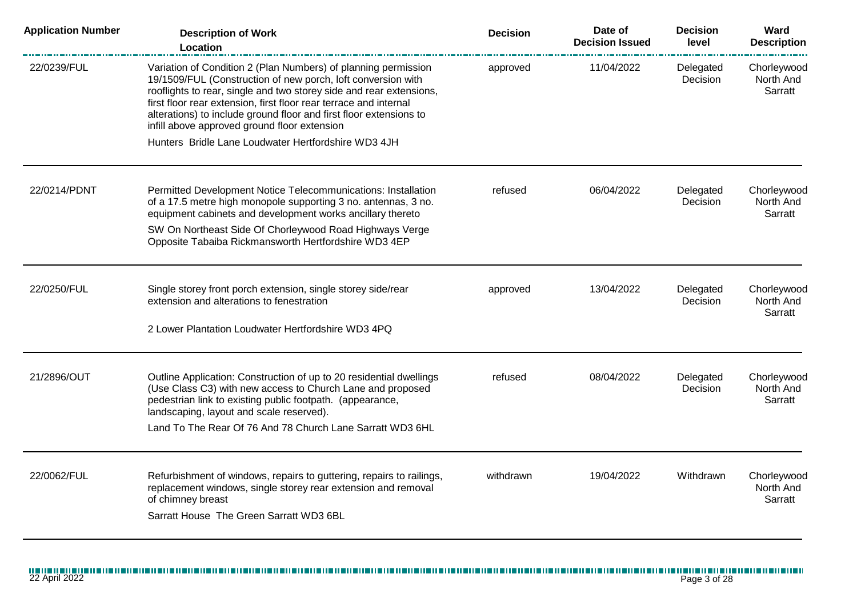| <b>Application Number</b> | <b>Description of Work</b><br><b>Location</b>                                                                                                                                                                                                                                                                                                                                                    | <b>Decision</b> | Date of<br><b>Decision Issued</b> | <b>Decision</b><br>level | Ward<br><b>Description</b>          |
|---------------------------|--------------------------------------------------------------------------------------------------------------------------------------------------------------------------------------------------------------------------------------------------------------------------------------------------------------------------------------------------------------------------------------------------|-----------------|-----------------------------------|--------------------------|-------------------------------------|
| 22/0239/FUL               | Variation of Condition 2 (Plan Numbers) of planning permission<br>19/1509/FUL (Construction of new porch, loft conversion with<br>rooflights to rear, single and two storey side and rear extensions,<br>first floor rear extension, first floor rear terrace and internal<br>alterations) to include ground floor and first floor extensions to<br>infill above approved ground floor extension | approved        | 11/04/2022                        | Delegated<br>Decision    | Chorleywood<br>North And<br>Sarratt |
|                           | Hunters Bridle Lane Loudwater Hertfordshire WD3 4JH                                                                                                                                                                                                                                                                                                                                              |                 |                                   |                          |                                     |
| 22/0214/PDNT              | Permitted Development Notice Telecommunications: Installation<br>of a 17.5 metre high monopole supporting 3 no. antennas, 3 no.<br>equipment cabinets and development works ancillary thereto<br>SW On Northeast Side Of Chorleywood Road Highways Verge<br>Opposite Tabaiba Rickmansworth Hertfordshire WD3 4EP                                                                                 | refused         | 06/04/2022                        | Delegated<br>Decision    | Chorleywood<br>North And<br>Sarratt |
| 22/0250/FUL               | Single storey front porch extension, single storey side/rear<br>extension and alterations to fenestration<br>2 Lower Plantation Loudwater Hertfordshire WD3 4PQ                                                                                                                                                                                                                                  | approved        | 13/04/2022                        | Delegated<br>Decision    | Chorleywood<br>North And<br>Sarratt |
| 21/2896/OUT               | Outline Application: Construction of up to 20 residential dwellings<br>(Use Class C3) with new access to Church Lane and proposed<br>pedestrian link to existing public footpath. (appearance,<br>landscaping, layout and scale reserved).<br>Land To The Rear Of 76 And 78 Church Lane Sarratt WD3 6HL                                                                                          | refused         | 08/04/2022                        | Delegated<br>Decision    | Chorleywood<br>North And<br>Sarratt |
| 22/0062/FUL               | Refurbishment of windows, repairs to guttering, repairs to railings,<br>replacement windows, single storey rear extension and removal<br>of chimney breast<br>Sarratt House The Green Sarratt WD3 6BL                                                                                                                                                                                            | withdrawn       | 19/04/2022                        | Withdrawn                | Chorleywood<br>North And<br>Sarratt |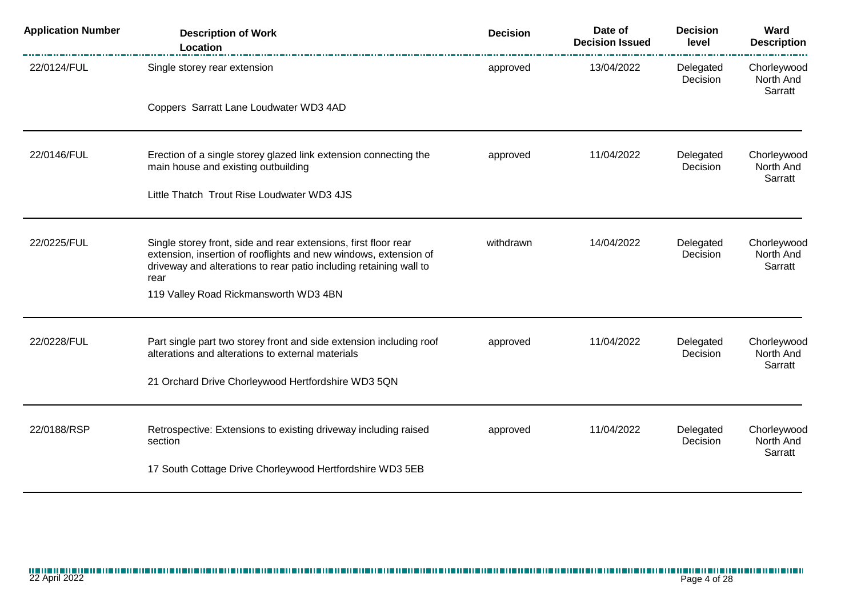| <b>Application Number</b> | <b>Description of Work</b><br>Location                                                                                                                                                                            | <b>Decision</b> | Date of<br><b>Decision Issued</b> | <b>Decision</b><br>level | Ward<br><b>Description</b>          |
|---------------------------|-------------------------------------------------------------------------------------------------------------------------------------------------------------------------------------------------------------------|-----------------|-----------------------------------|--------------------------|-------------------------------------|
| 22/0124/FUL               | Single storey rear extension                                                                                                                                                                                      | approved        | 13/04/2022                        | Delegated<br>Decision    | Chorleywood<br>North And<br>Sarratt |
|                           | Coppers Sarratt Lane Loudwater WD3 4AD                                                                                                                                                                            |                 |                                   |                          |                                     |
| 22/0146/FUL               | Erection of a single storey glazed link extension connecting the<br>main house and existing outbuilding                                                                                                           | approved        | 11/04/2022                        | Delegated<br>Decision    | Chorleywood<br>North And<br>Sarratt |
|                           | Little Thatch Trout Rise Loudwater WD3 4JS                                                                                                                                                                        |                 |                                   |                          |                                     |
| 22/0225/FUL               | Single storey front, side and rear extensions, first floor rear<br>extension, insertion of rooflights and new windows, extension of<br>driveway and alterations to rear patio including retaining wall to<br>rear | withdrawn       | 14/04/2022                        | Delegated<br>Decision    | Chorleywood<br>North And<br>Sarratt |
|                           | 119 Valley Road Rickmansworth WD3 4BN                                                                                                                                                                             |                 |                                   |                          |                                     |
| 22/0228/FUL               | Part single part two storey front and side extension including roof<br>alterations and alterations to external materials                                                                                          | approved        | 11/04/2022                        | Delegated<br>Decision    | Chorleywood<br>North And<br>Sarratt |
|                           | 21 Orchard Drive Chorleywood Hertfordshire WD3 5QN                                                                                                                                                                |                 |                                   |                          |                                     |
| 22/0188/RSP               | Retrospective: Extensions to existing driveway including raised<br>section                                                                                                                                        | approved        | 11/04/2022                        | Delegated<br>Decision    | Chorleywood<br>North And<br>Sarratt |
|                           | 17 South Cottage Drive Chorleywood Hertfordshire WD3 5EB                                                                                                                                                          |                 |                                   |                          |                                     |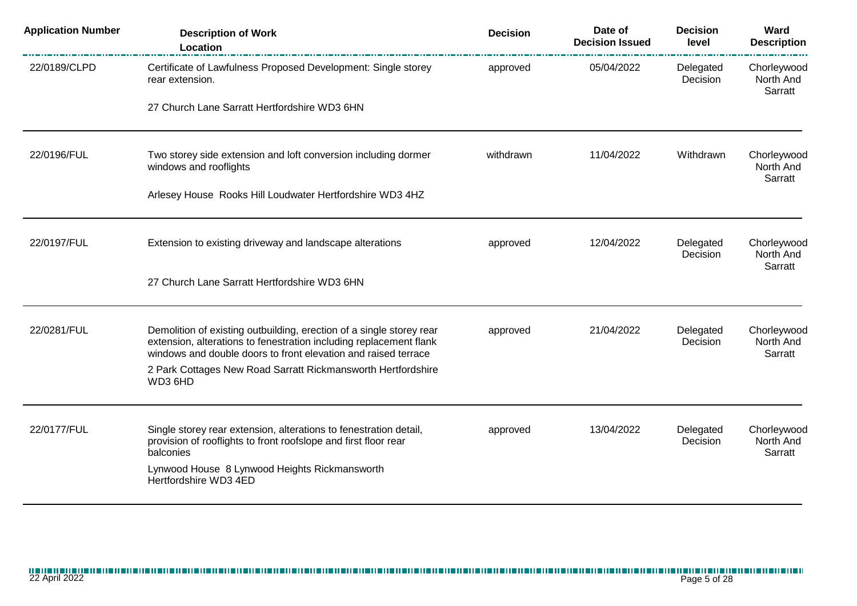| <b>Application Number</b> | <b>Description of Work</b><br>Location                                                                                                                                                                       | <b>Decision</b> | Date of<br><b>Decision Issued</b> | <b>Decision</b><br>level | Ward<br><b>Description</b>          |
|---------------------------|--------------------------------------------------------------------------------------------------------------------------------------------------------------------------------------------------------------|-----------------|-----------------------------------|--------------------------|-------------------------------------|
| 22/0189/CLPD              | Certificate of Lawfulness Proposed Development: Single storey<br>rear extension.                                                                                                                             | approved        | 05/04/2022                        | Delegated<br>Decision    | Chorleywood<br>North And<br>Sarratt |
|                           | 27 Church Lane Sarratt Hertfordshire WD3 6HN                                                                                                                                                                 |                 |                                   |                          |                                     |
| 22/0196/FUL               | Two storey side extension and loft conversion including dormer<br>windows and rooflights                                                                                                                     | withdrawn       | 11/04/2022                        | Withdrawn                | Chorleywood<br>North And            |
|                           | Arlesey House Rooks Hill Loudwater Hertfordshire WD3 4HZ                                                                                                                                                     |                 |                                   |                          | Sarratt                             |
| 22/0197/FUL               | Extension to existing driveway and landscape alterations                                                                                                                                                     | approved        | 12/04/2022                        | Delegated<br>Decision    | Chorleywood<br>North And<br>Sarratt |
|                           | 27 Church Lane Sarratt Hertfordshire WD3 6HN                                                                                                                                                                 |                 |                                   |                          |                                     |
| 22/0281/FUL               | Demolition of existing outbuilding, erection of a single storey rear<br>extension, alterations to fenestration including replacement flank<br>windows and double doors to front elevation and raised terrace | approved        | 21/04/2022                        | Delegated<br>Decision    | Chorleywood<br>North And<br>Sarratt |
|                           | 2 Park Cottages New Road Sarratt Rickmansworth Hertfordshire<br>WD3 6HD                                                                                                                                      |                 |                                   |                          |                                     |
| 22/0177/FUL               | Single storey rear extension, alterations to fenestration detail,<br>provision of rooflights to front roofslope and first floor rear                                                                         | approved        | 13/04/2022                        | Delegated<br>Decision    | Chorleywood<br>North And            |
|                           | balconies<br>Lynwood House 8 Lynwood Heights Rickmansworth                                                                                                                                                   |                 |                                   |                          | Sarratt                             |
|                           | Hertfordshire WD3 4ED                                                                                                                                                                                        |                 |                                   |                          |                                     |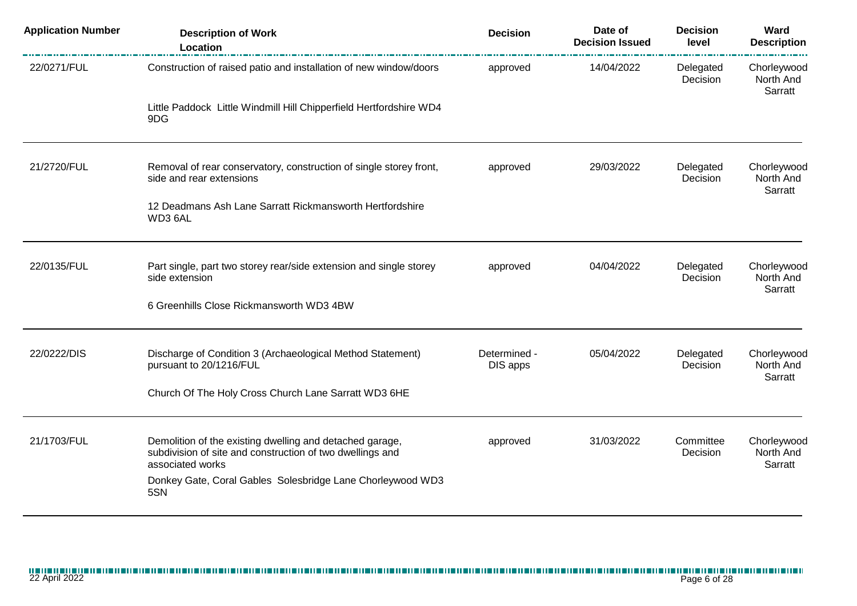| <b>Application Number</b> | <b>Description of Work</b><br>Location                                                                                                    | <b>Decision</b>          | Date of<br><b>Decision Issued</b> | <b>Decision</b><br>level | Ward<br><b>Description</b>          |
|---------------------------|-------------------------------------------------------------------------------------------------------------------------------------------|--------------------------|-----------------------------------|--------------------------|-------------------------------------|
| 22/0271/FUL               | Construction of raised patio and installation of new window/doors                                                                         | approved                 | 14/04/2022                        | Delegated<br>Decision    | Chorleywood<br>North And<br>Sarratt |
|                           | Little Paddock Little Windmill Hill Chipperfield Hertfordshire WD4<br>9DG                                                                 |                          |                                   |                          |                                     |
| 21/2720/FUL               | Removal of rear conservatory, construction of single storey front,<br>side and rear extensions                                            | approved                 | 29/03/2022                        | Delegated<br>Decision    | Chorleywood<br>North And<br>Sarratt |
|                           | 12 Deadmans Ash Lane Sarratt Rickmansworth Hertfordshire<br>WD3 6AL                                                                       |                          |                                   |                          |                                     |
| 22/0135/FUL               | Part single, part two storey rear/side extension and single storey<br>side extension                                                      | approved                 | 04/04/2022                        | Delegated<br>Decision    | Chorleywood<br>North And            |
|                           | 6 Greenhills Close Rickmansworth WD3 4BW                                                                                                  |                          |                                   |                          | Sarratt                             |
| 22/0222/DIS               | Discharge of Condition 3 (Archaeological Method Statement)<br>pursuant to 20/1216/FUL                                                     | Determined -<br>DIS apps | 05/04/2022                        | Delegated<br>Decision    | Chorleywood<br>North And<br>Sarratt |
|                           | Church Of The Holy Cross Church Lane Sarratt WD3 6HE                                                                                      |                          |                                   |                          |                                     |
| 21/1703/FUL               | Demolition of the existing dwelling and detached garage,<br>subdivision of site and construction of two dwellings and<br>associated works | approved                 | 31/03/2022                        | Committee<br>Decision    | Chorleywood<br>North And<br>Sarratt |
|                           | Donkey Gate, Coral Gables Solesbridge Lane Chorleywood WD3<br>5SN                                                                         |                          |                                   |                          |                                     |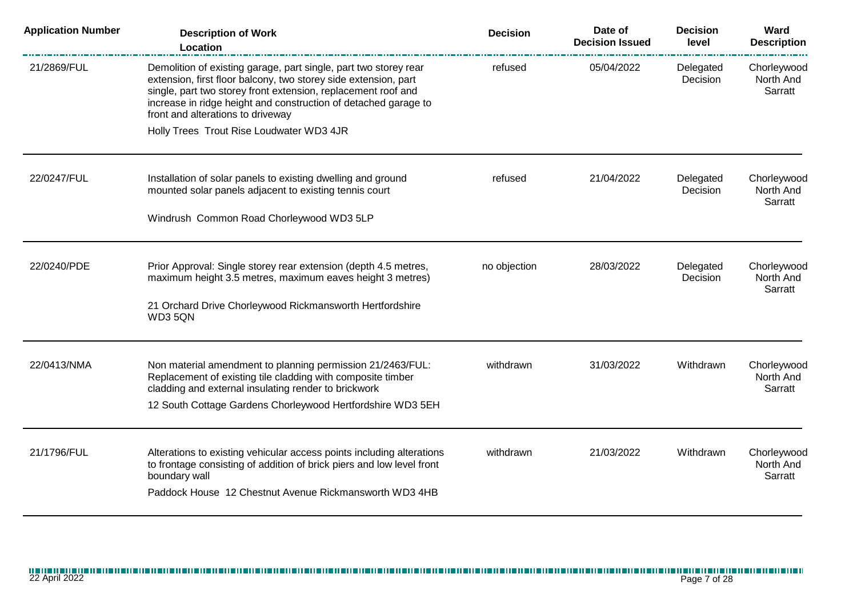| <b>Application Number</b> | <b>Description of Work</b><br>Location                                                                                                                                                                                                                                                                       | <b>Decision</b> | Date of<br><b>Decision Issued</b> | <b>Decision</b><br>level | Ward<br><b>Description</b>          |
|---------------------------|--------------------------------------------------------------------------------------------------------------------------------------------------------------------------------------------------------------------------------------------------------------------------------------------------------------|-----------------|-----------------------------------|--------------------------|-------------------------------------|
| 21/2869/FUL               | Demolition of existing garage, part single, part two storey rear<br>extension, first floor balcony, two storey side extension, part<br>single, part two storey front extension, replacement roof and<br>increase in ridge height and construction of detached garage to<br>front and alterations to driveway | refused         | 05/04/2022                        | Delegated<br>Decision    | Chorleywood<br>North And<br>Sarratt |
|                           | Holly Trees Trout Rise Loudwater WD3 4JR                                                                                                                                                                                                                                                                     |                 |                                   |                          |                                     |
| 22/0247/FUL               | Installation of solar panels to existing dwelling and ground<br>mounted solar panels adjacent to existing tennis court                                                                                                                                                                                       | refused         | 21/04/2022                        | Delegated<br>Decision    | Chorleywood<br>North And<br>Sarratt |
|                           | Windrush Common Road Chorleywood WD3 5LP                                                                                                                                                                                                                                                                     |                 |                                   |                          |                                     |
| 22/0240/PDE               | Prior Approval: Single storey rear extension (depth 4.5 metres,<br>maximum height 3.5 metres, maximum eaves height 3 metres)                                                                                                                                                                                 | no objection    | 28/03/2022                        | Delegated<br>Decision    | Chorleywood<br>North And<br>Sarratt |
|                           | 21 Orchard Drive Chorleywood Rickmansworth Hertfordshire<br>WD3 5QN                                                                                                                                                                                                                                          |                 |                                   |                          |                                     |
| 22/0413/NMA               | Non material amendment to planning permission 21/2463/FUL:                                                                                                                                                                                                                                                   | withdrawn       | 31/03/2022                        | Withdrawn                | Chorleywood<br>North And            |
|                           | Replacement of existing tile cladding with composite timber<br>cladding and external insulating render to brickwork                                                                                                                                                                                          |                 |                                   |                          | Sarratt                             |
|                           | 12 South Cottage Gardens Chorleywood Hertfordshire WD3 5EH                                                                                                                                                                                                                                                   |                 |                                   |                          |                                     |
| 21/1796/FUL               | Alterations to existing vehicular access points including alterations                                                                                                                                                                                                                                        | withdrawn       | 21/03/2022                        | Withdrawn                | Chorleywood                         |
|                           | to frontage consisting of addition of brick piers and low level front<br>boundary wall                                                                                                                                                                                                                       |                 |                                   |                          | North And<br>Sarratt                |
|                           | Paddock House 12 Chestnut Avenue Rickmansworth WD3 4HB                                                                                                                                                                                                                                                       |                 |                                   |                          |                                     |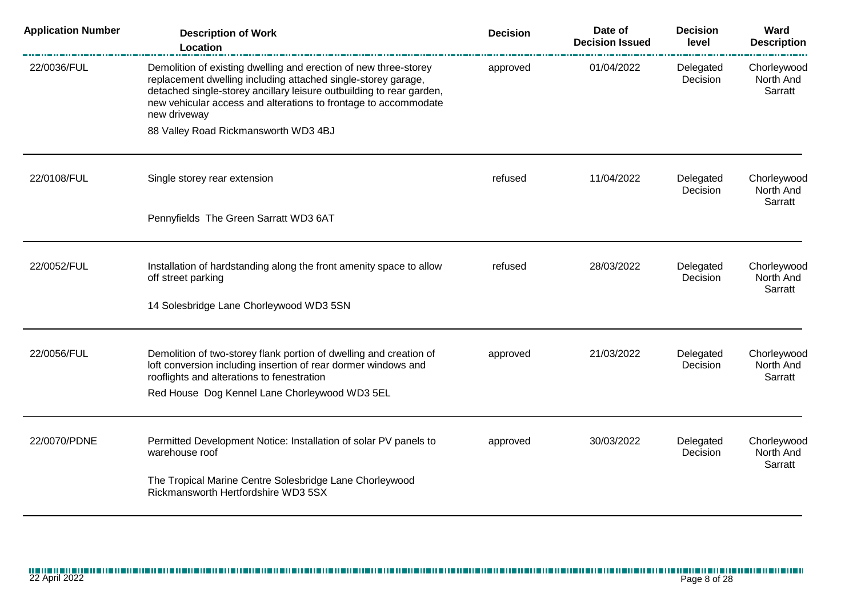| <b>Application Number</b> | <b>Description of Work</b><br>Location                                                                                                                                                                                                                                                       | <b>Decision</b> | Date of<br><b>Decision Issued</b> | <b>Decision</b><br>level | Ward<br><b>Description</b>          |
|---------------------------|----------------------------------------------------------------------------------------------------------------------------------------------------------------------------------------------------------------------------------------------------------------------------------------------|-----------------|-----------------------------------|--------------------------|-------------------------------------|
| 22/0036/FUL               | Demolition of existing dwelling and erection of new three-storey<br>replacement dwelling including attached single-storey garage,<br>detached single-storey ancillary leisure outbuilding to rear garden,<br>new vehicular access and alterations to frontage to accommodate<br>new driveway | approved        | 01/04/2022                        | Delegated<br>Decision    | Chorleywood<br>North And<br>Sarratt |
|                           | 88 Valley Road Rickmansworth WD3 4BJ                                                                                                                                                                                                                                                         |                 |                                   |                          |                                     |
| 22/0108/FUL               | Single storey rear extension                                                                                                                                                                                                                                                                 | refused         | 11/04/2022                        | Delegated<br>Decision    | Chorleywood<br>North And<br>Sarratt |
|                           | Pennyfields The Green Sarratt WD3 6AT                                                                                                                                                                                                                                                        |                 |                                   |                          |                                     |
| 22/0052/FUL               | Installation of hardstanding along the front amenity space to allow<br>off street parking                                                                                                                                                                                                    | refused         | 28/03/2022                        | Delegated<br>Decision    | Chorleywood<br>North And<br>Sarratt |
|                           | 14 Solesbridge Lane Chorleywood WD3 5SN                                                                                                                                                                                                                                                      |                 |                                   |                          |                                     |
| 22/0056/FUL               | Demolition of two-storey flank portion of dwelling and creation of<br>loft conversion including insertion of rear dormer windows and<br>rooflights and alterations to fenestration                                                                                                           | approved        | 21/03/2022                        | Delegated<br>Decision    | Chorleywood<br>North And<br>Sarratt |
|                           | Red House Dog Kennel Lane Chorleywood WD3 5EL                                                                                                                                                                                                                                                |                 |                                   |                          |                                     |
| 22/0070/PDNE              | Permitted Development Notice: Installation of solar PV panels to<br>warehouse roof                                                                                                                                                                                                           | approved        | 30/03/2022                        | Delegated<br>Decision    | Chorleywood<br>North And<br>Sarratt |
|                           | The Tropical Marine Centre Solesbridge Lane Chorleywood<br>Rickmansworth Hertfordshire WD3 5SX                                                                                                                                                                                               |                 |                                   |                          |                                     |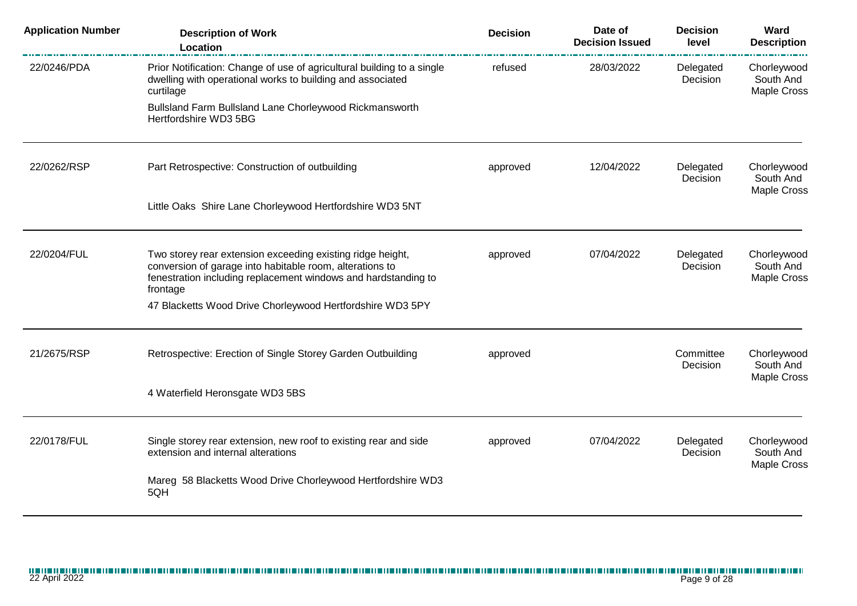| <b>Application Number</b> | <b>Description of Work</b><br>Location                                                                                                                                                               | <b>Decision</b> | Date of<br><b>Decision Issued</b> | <b>Decision</b><br>level                | Ward<br><b>Description</b>              |
|---------------------------|------------------------------------------------------------------------------------------------------------------------------------------------------------------------------------------------------|-----------------|-----------------------------------|-----------------------------------------|-----------------------------------------|
| 22/0246/PDA               | Prior Notification: Change of use of agricultural building to a single<br>dwelling with operational works to building and associated<br>curtilage                                                    | refused         | 28/03/2022                        | Delegated<br>Decision                   | Chorleywood<br>South And<br>Maple Cross |
|                           | Bullsland Farm Bullsland Lane Chorleywood Rickmansworth<br>Hertfordshire WD3 5BG                                                                                                                     |                 |                                   |                                         |                                         |
| 22/0262/RSP               | Part Retrospective: Construction of outbuilding<br>approved                                                                                                                                          | 12/04/2022      | Delegated<br>Decision             | Chorleywood<br>South And<br>Maple Cross |                                         |
|                           | Little Oaks Shire Lane Chorleywood Hertfordshire WD3 5NT                                                                                                                                             |                 |                                   |                                         |                                         |
| 22/0204/FUL               | Two storey rear extension exceeding existing ridge height,<br>conversion of garage into habitable room, alterations to<br>fenestration including replacement windows and hardstanding to<br>frontage | approved        | 07/04/2022                        | Delegated<br>Decision                   | Chorleywood<br>South And<br>Maple Cross |
|                           | 47 Blacketts Wood Drive Chorleywood Hertfordshire WD3 5PY                                                                                                                                            |                 |                                   |                                         |                                         |
| 21/2675/RSP               | Retrospective: Erection of Single Storey Garden Outbuilding                                                                                                                                          | approved        |                                   | Committee<br>Decision                   | Chorleywood<br>South And<br>Maple Cross |
|                           | 4 Waterfield Heronsgate WD3 5BS                                                                                                                                                                      |                 |                                   |                                         |                                         |
| 22/0178/FUL               | Single storey rear extension, new roof to existing rear and side<br>extension and internal alterations                                                                                               | approved        | 07/04/2022                        | Delegated<br>Decision                   | Chorleywood<br>South And<br>Maple Cross |
|                           | Mareg 58 Blacketts Wood Drive Chorleywood Hertfordshire WD3<br>5QH                                                                                                                                   |                 |                                   |                                         |                                         |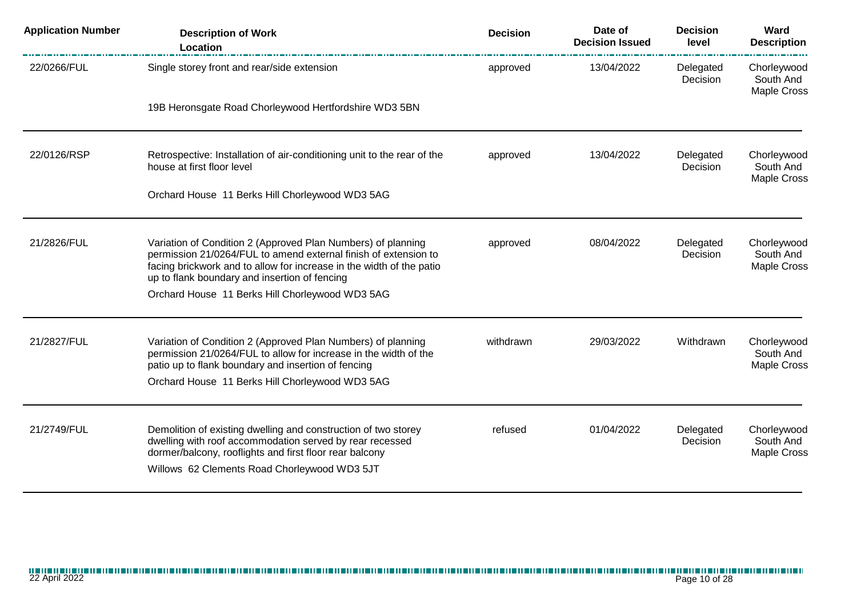| Location                                                                                                                                                                                                                                                 |                                              | <b>Decision Issued</b> | level                 | Ward<br><b>Description</b>                     |
|----------------------------------------------------------------------------------------------------------------------------------------------------------------------------------------------------------------------------------------------------------|----------------------------------------------|------------------------|-----------------------|------------------------------------------------|
| Single storey front and rear/side extension                                                                                                                                                                                                              | approved                                     | 13/04/2022             | Delegated<br>Decision | Chorleywood<br>South And<br><b>Maple Cross</b> |
| 19B Heronsgate Road Chorleywood Hertfordshire WD3 5BN                                                                                                                                                                                                    |                                              |                        |                       |                                                |
| Retrospective: Installation of air-conditioning unit to the rear of the<br>house at first floor level                                                                                                                                                    | approved                                     | 13/04/2022             | Delegated<br>Decision | Chorleywood<br>South And<br><b>Maple Cross</b> |
| Orchard House 11 Berks Hill Chorleywood WD3 5AG                                                                                                                                                                                                          |                                              |                        |                       |                                                |
| Variation of Condition 2 (Approved Plan Numbers) of planning<br>permission 21/0264/FUL to amend external finish of extension to<br>facing brickwork and to allow for increase in the width of the patio<br>up to flank boundary and insertion of fencing | approved                                     | 08/04/2022             | Delegated<br>Decision | Chorleywood<br>South And<br><b>Maple Cross</b> |
| Orchard House 11 Berks Hill Chorleywood WD3 5AG                                                                                                                                                                                                          |                                              |                        |                       |                                                |
| Variation of Condition 2 (Approved Plan Numbers) of planning<br>permission 21/0264/FUL to allow for increase in the width of the<br>patio up to flank boundary and insertion of fencing<br>Orchard House 11 Berks Hill Chorleywood WD3 5AG               | withdrawn                                    | 29/03/2022             | Withdrawn             | Chorleywood<br>South And<br>Maple Cross        |
|                                                                                                                                                                                                                                                          |                                              |                        |                       |                                                |
| Demolition of existing dwelling and construction of two storey<br>dwelling with roof accommodation served by rear recessed<br>dormer/balcony, rooflights and first floor rear balcony                                                                    | refused                                      | 01/04/2022             | Delegated<br>Decision | Chorleywood<br>South And<br>Maple Cross        |
|                                                                                                                                                                                                                                                          | Willows 62 Clements Road Chorleywood WD3 5JT |                        |                       |                                                |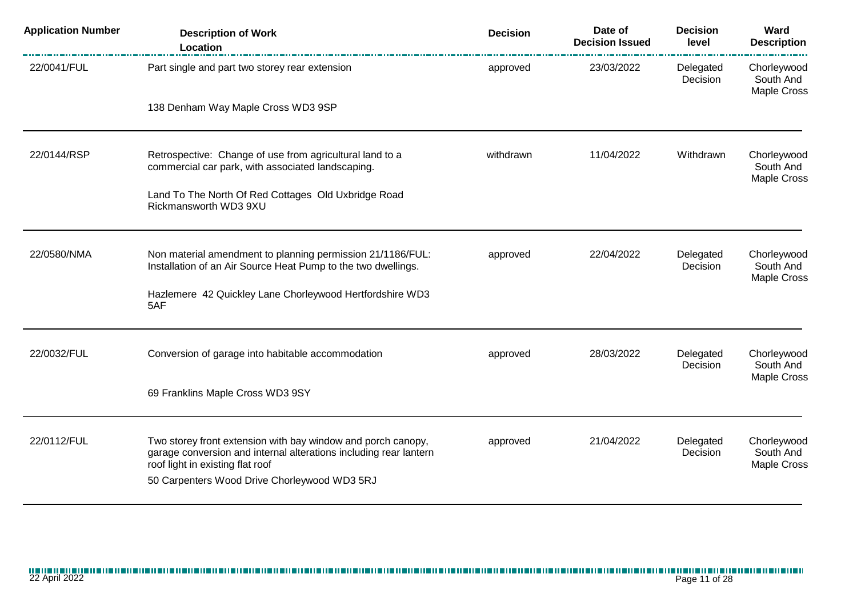| <b>Application Number</b> | <b>Description of Work</b><br>Location                                                                                                                                                                                | <b>Decision</b> | Date of<br><b>Decision Issued</b> | <b>Decision</b><br>level | Ward<br><b>Description</b>                     |
|---------------------------|-----------------------------------------------------------------------------------------------------------------------------------------------------------------------------------------------------------------------|-----------------|-----------------------------------|--------------------------|------------------------------------------------|
| 22/0041/FUL               | Part single and part two storey rear extension                                                                                                                                                                        | approved        | 23/03/2022                        | Delegated<br>Decision    | Chorleywood<br>South And<br><b>Maple Cross</b> |
|                           | 138 Denham Way Maple Cross WD3 9SP                                                                                                                                                                                    |                 |                                   |                          |                                                |
| 22/0144/RSP               | Retrospective: Change of use from agricultural land to a<br>commercial car park, with associated landscaping.                                                                                                         | withdrawn       | 11/04/2022                        | Withdrawn                | Chorleywood<br>South And<br><b>Maple Cross</b> |
|                           | Land To The North Of Red Cottages Old Uxbridge Road<br>Rickmansworth WD3 9XU                                                                                                                                          |                 |                                   |                          |                                                |
| 22/0580/NMA               | Non material amendment to planning permission 21/1186/FUL:<br>Installation of an Air Source Heat Pump to the two dwellings.                                                                                           | approved        | 22/04/2022                        | Delegated<br>Decision    | Chorleywood<br>South And<br><b>Maple Cross</b> |
|                           | Hazlemere 42 Quickley Lane Chorleywood Hertfordshire WD3<br>5AF                                                                                                                                                       |                 |                                   |                          |                                                |
| 22/0032/FUL               | Conversion of garage into habitable accommodation                                                                                                                                                                     | approved        | 28/03/2022                        | Delegated<br>Decision    | Chorleywood<br>South And<br><b>Maple Cross</b> |
|                           | 69 Franklins Maple Cross WD3 9SY                                                                                                                                                                                      |                 |                                   |                          |                                                |
| 22/0112/FUL               | Two storey front extension with bay window and porch canopy,<br>garage conversion and internal alterations including rear lantern<br>roof light in existing flat roof<br>50 Carpenters Wood Drive Chorleywood WD3 5RJ | approved        | 21/04/2022                        | Delegated<br>Decision    | Chorleywood<br>South And<br><b>Maple Cross</b> |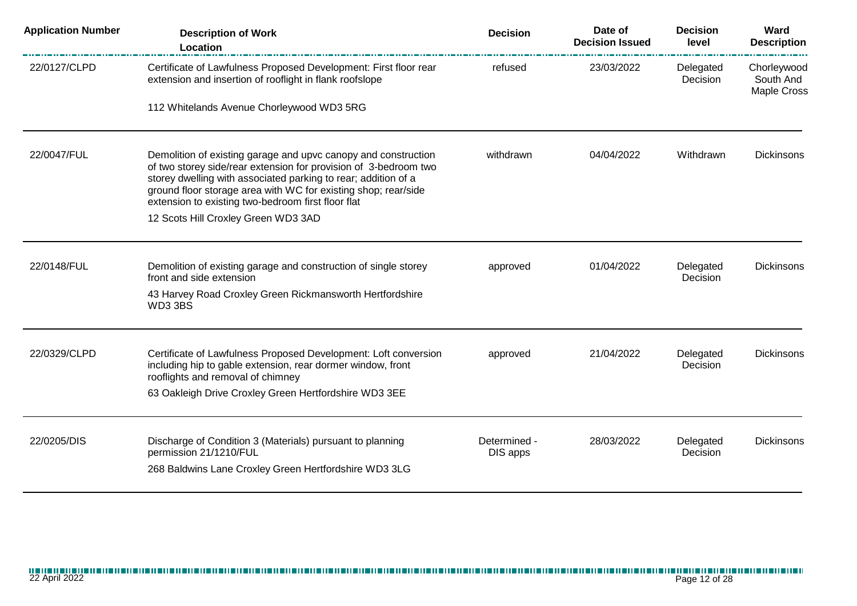| <b>Application Number</b> | <b>Description of Work</b><br>Location                                                                                                                                                                                                                                                                                       | <b>Decision</b>          | Date of<br><b>Decision Issued</b> | <b>Decision</b><br>level | Ward<br><b>Description</b>                     |
|---------------------------|------------------------------------------------------------------------------------------------------------------------------------------------------------------------------------------------------------------------------------------------------------------------------------------------------------------------------|--------------------------|-----------------------------------|--------------------------|------------------------------------------------|
| 22/0127/CLPD              | Certificate of Lawfulness Proposed Development: First floor rear<br>extension and insertion of rooflight in flank roofslope                                                                                                                                                                                                  | refused                  | 23/03/2022                        | Delegated<br>Decision    | Chorleywood<br>South And<br><b>Maple Cross</b> |
|                           | 112 Whitelands Avenue Chorleywood WD3 5RG                                                                                                                                                                                                                                                                                    |                          |                                   |                          |                                                |
| 22/0047/FUL               | Demolition of existing garage and upvc canopy and construction<br>of two storey side/rear extension for provision of 3-bedroom two<br>storey dwelling with associated parking to rear; addition of a<br>ground floor storage area with WC for existing shop; rear/side<br>extension to existing two-bedroom first floor flat | withdrawn                | 04/04/2022                        | Withdrawn                | <b>Dickinsons</b>                              |
|                           | 12 Scots Hill Croxley Green WD3 3AD                                                                                                                                                                                                                                                                                          |                          |                                   |                          |                                                |
| 22/0148/FUL               | Demolition of existing garage and construction of single storey<br>front and side extension                                                                                                                                                                                                                                  | approved                 | 01/04/2022                        | Delegated<br>Decision    | <b>Dickinsons</b>                              |
|                           | 43 Harvey Road Croxley Green Rickmansworth Hertfordshire<br>WD3 3BS                                                                                                                                                                                                                                                          |                          |                                   |                          |                                                |
| 22/0329/CLPD              | Certificate of Lawfulness Proposed Development: Loft conversion<br>including hip to gable extension, rear dormer window, front<br>rooflights and removal of chimney                                                                                                                                                          | approved                 | 21/04/2022                        | Delegated<br>Decision    | <b>Dickinsons</b>                              |
|                           | 63 Oakleigh Drive Croxley Green Hertfordshire WD3 3EE                                                                                                                                                                                                                                                                        |                          |                                   |                          |                                                |
| 22/0205/DIS               | Discharge of Condition 3 (Materials) pursuant to planning<br>permission 21/1210/FUL<br>268 Baldwins Lane Croxley Green Hertfordshire WD3 3LG                                                                                                                                                                                 | Determined -<br>DIS apps | 28/03/2022                        | Delegated<br>Decision    | <b>Dickinsons</b>                              |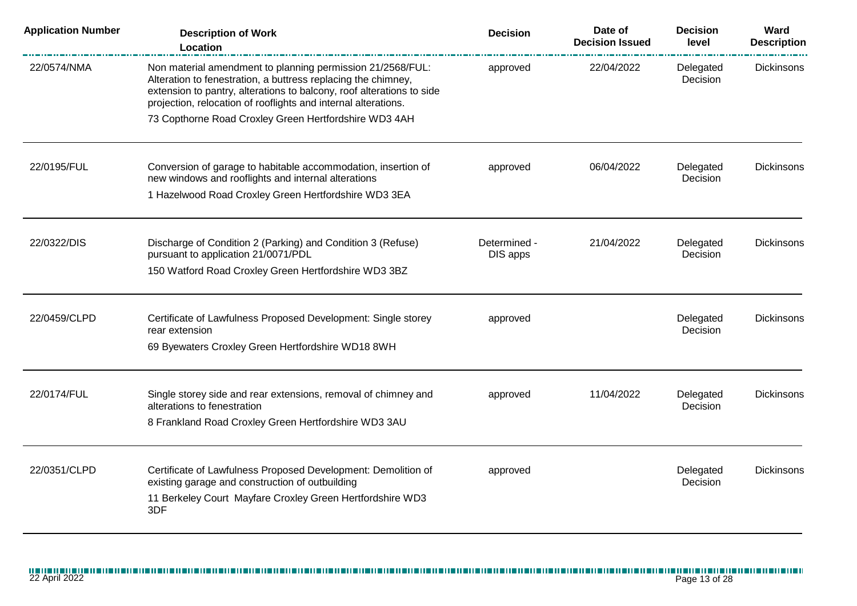| <b>Application Number</b> | <b>Description of Work</b><br>Location                                                                                                                                                                                                                                 | <b>Decision</b>          | Date of<br><b>Decision Issued</b> | <b>Decision</b><br>level | Ward<br><b>Description</b> |
|---------------------------|------------------------------------------------------------------------------------------------------------------------------------------------------------------------------------------------------------------------------------------------------------------------|--------------------------|-----------------------------------|--------------------------|----------------------------|
| 22/0574/NMA               | Non material amendment to planning permission 21/2568/FUL:<br>Alteration to fenestration, a buttress replacing the chimney,<br>extension to pantry, alterations to balcony, roof alterations to side<br>projection, relocation of rooflights and internal alterations. | approved                 | 22/04/2022                        | Delegated<br>Decision    | <b>Dickinsons</b>          |
|                           | 73 Copthorne Road Croxley Green Hertfordshire WD3 4AH                                                                                                                                                                                                                  |                          |                                   |                          |                            |
| 22/0195/FUL               | Conversion of garage to habitable accommodation, insertion of<br>new windows and rooflights and internal alterations                                                                                                                                                   | approved                 | 06/04/2022                        | Delegated<br>Decision    | <b>Dickinsons</b>          |
|                           | 1 Hazelwood Road Croxley Green Hertfordshire WD3 3EA                                                                                                                                                                                                                   |                          |                                   |                          |                            |
| 22/0322/DIS               | Discharge of Condition 2 (Parking) and Condition 3 (Refuse)<br>pursuant to application 21/0071/PDL                                                                                                                                                                     | Determined -<br>DIS apps | 21/04/2022                        | Delegated<br>Decision    | Dickinsons                 |
|                           | 150 Watford Road Croxley Green Hertfordshire WD3 3BZ                                                                                                                                                                                                                   |                          |                                   |                          |                            |
| 22/0459/CLPD              | Certificate of Lawfulness Proposed Development: Single storey<br>rear extension                                                                                                                                                                                        | approved                 |                                   | Delegated<br>Decision    | <b>Dickinsons</b>          |
|                           | 69 Byewaters Croxley Green Hertfordshire WD18 8WH                                                                                                                                                                                                                      |                          |                                   |                          |                            |
| 22/0174/FUL               | Single storey side and rear extensions, removal of chimney and<br>alterations to fenestration                                                                                                                                                                          | approved                 | 11/04/2022                        | Delegated<br>Decision    | <b>Dickinsons</b>          |
|                           | 8 Frankland Road Croxley Green Hertfordshire WD3 3AU                                                                                                                                                                                                                   |                          |                                   |                          |                            |
| 22/0351/CLPD              | Certificate of Lawfulness Proposed Development: Demolition of<br>existing garage and construction of outbuilding                                                                                                                                                       | approved                 |                                   | Delegated<br>Decision    | <b>Dickinsons</b>          |
|                           | 11 Berkeley Court Mayfare Croxley Green Hertfordshire WD3<br>3DF                                                                                                                                                                                                       |                          |                                   |                          |                            |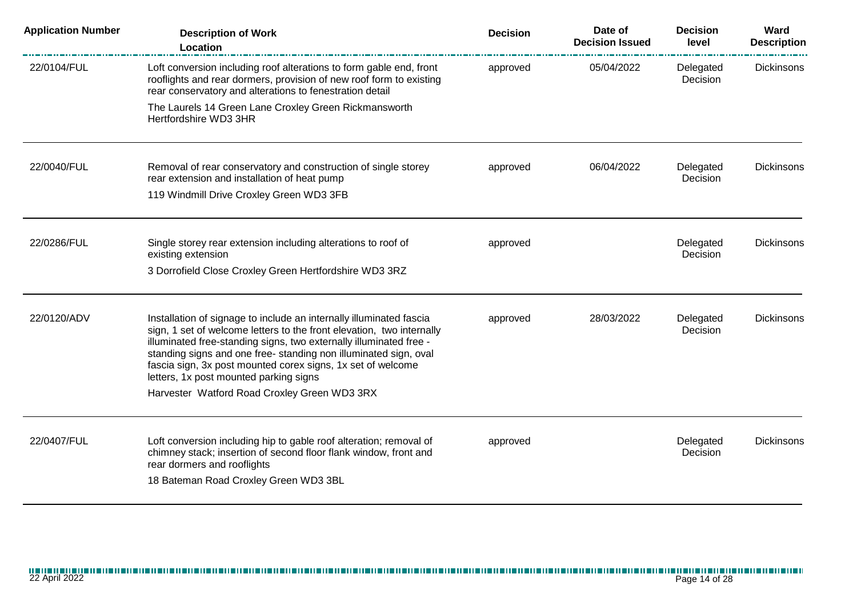| <b>Application Number</b> | <b>Description of Work</b><br>Location                                                                                                                                                                                                                                                                                                                                                         | <b>Decision</b> | Date of<br><b>Decision Issued</b> | <b>Decision</b><br>level | Ward<br><b>Description</b> |
|---------------------------|------------------------------------------------------------------------------------------------------------------------------------------------------------------------------------------------------------------------------------------------------------------------------------------------------------------------------------------------------------------------------------------------|-----------------|-----------------------------------|--------------------------|----------------------------|
| 22/0104/FUL               | Loft conversion including roof alterations to form gable end, front<br>rooflights and rear dormers, provision of new roof form to existing<br>rear conservatory and alterations to fenestration detail                                                                                                                                                                                         | approved        | 05/04/2022                        | Delegated<br>Decision    | <b>Dickinsons</b>          |
|                           | The Laurels 14 Green Lane Croxley Green Rickmansworth<br>Hertfordshire WD3 3HR                                                                                                                                                                                                                                                                                                                 |                 |                                   |                          |                            |
| 22/0040/FUL               | Removal of rear conservatory and construction of single storey<br>rear extension and installation of heat pump                                                                                                                                                                                                                                                                                 | approved        | 06/04/2022                        | Delegated<br>Decision    | Dickinsons                 |
|                           | 119 Windmill Drive Croxley Green WD3 3FB                                                                                                                                                                                                                                                                                                                                                       |                 |                                   |                          |                            |
| 22/0286/FUL               | Single storey rear extension including alterations to roof of<br>existing extension                                                                                                                                                                                                                                                                                                            | approved        |                                   | Delegated<br>Decision    | <b>Dickinsons</b>          |
|                           | 3 Dorrofield Close Croxley Green Hertfordshire WD3 3RZ                                                                                                                                                                                                                                                                                                                                         |                 |                                   |                          |                            |
| 22/0120/ADV               | Installation of signage to include an internally illuminated fascia<br>sign, 1 set of welcome letters to the front elevation, two internally<br>illuminated free-standing signs, two externally illuminated free -<br>standing signs and one free-standing non illuminated sign, oval<br>fascia sign, 3x post mounted corex signs, 1x set of welcome<br>letters, 1x post mounted parking signs | approved        | 28/03/2022                        | Delegated<br>Decision    | <b>Dickinsons</b>          |
|                           | Harvester Watford Road Croxley Green WD3 3RX                                                                                                                                                                                                                                                                                                                                                   |                 |                                   |                          |                            |
| 22/0407/FUL               | Loft conversion including hip to gable roof alteration; removal of<br>chimney stack; insertion of second floor flank window, front and<br>rear dormers and rooflights                                                                                                                                                                                                                          | approved        |                                   | Delegated<br>Decision    | <b>Dickinsons</b>          |
|                           | 18 Bateman Road Croxley Green WD3 3BL                                                                                                                                                                                                                                                                                                                                                          |                 |                                   |                          |                            |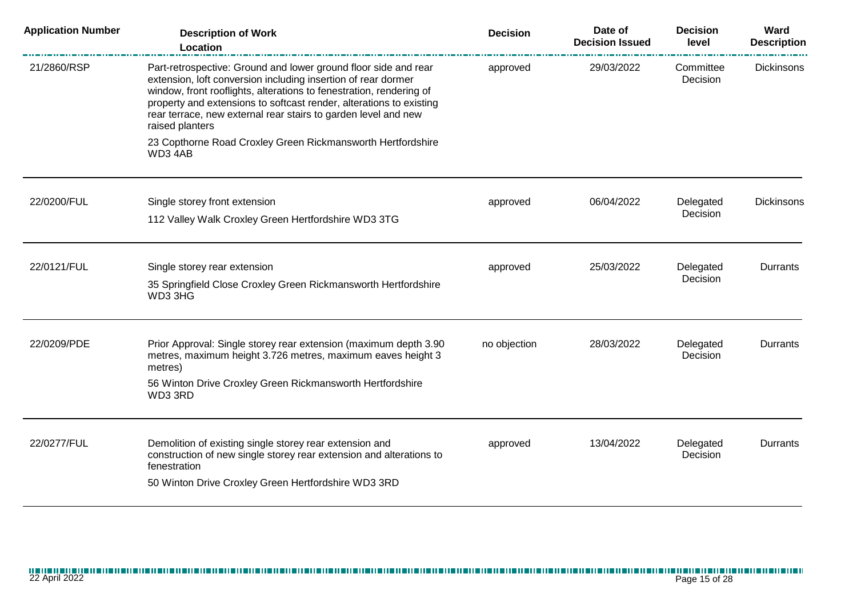| <b>Application Number</b> | <b>Description of Work</b><br>Location                                                                                                                                                                                                                                                                                                                              | <b>Decision</b> | Date of<br><b>Decision Issued</b> | <b>Decision</b><br>level | Ward<br><b>Description</b> |
|---------------------------|---------------------------------------------------------------------------------------------------------------------------------------------------------------------------------------------------------------------------------------------------------------------------------------------------------------------------------------------------------------------|-----------------|-----------------------------------|--------------------------|----------------------------|
| 21/2860/RSP               | Part-retrospective: Ground and lower ground floor side and rear<br>extension, loft conversion including insertion of rear dormer<br>window, front rooflights, alterations to fenestration, rendering of<br>property and extensions to softcast render, alterations to existing<br>rear terrace, new external rear stairs to garden level and new<br>raised planters | approved        | 29/03/2022                        | Committee<br>Decision    | <b>Dickinsons</b>          |
|                           | 23 Copthorne Road Croxley Green Rickmansworth Hertfordshire<br>WD34AB                                                                                                                                                                                                                                                                                               |                 |                                   |                          |                            |
| 22/0200/FUL               | Single storey front extension                                                                                                                                                                                                                                                                                                                                       | approved        | 06/04/2022                        | Delegated                | Dickinsons                 |
|                           | 112 Valley Walk Croxley Green Hertfordshire WD3 3TG                                                                                                                                                                                                                                                                                                                 |                 |                                   | Decision                 |                            |
| 22/0121/FUL               | Single storey rear extension                                                                                                                                                                                                                                                                                                                                        | approved        | 25/03/2022                        | Delegated                | Durrants                   |
|                           | 35 Springfield Close Croxley Green Rickmansworth Hertfordshire<br>WD3 3HG                                                                                                                                                                                                                                                                                           |                 |                                   | Decision                 |                            |
| 22/0209/PDE               | Prior Approval: Single storey rear extension (maximum depth 3.90)<br>metres, maximum height 3.726 metres, maximum eaves height 3<br>metres)                                                                                                                                                                                                                         | no objection    | 28/03/2022                        | Delegated<br>Decision    | Durrants                   |
|                           | 56 Winton Drive Croxley Green Rickmansworth Hertfordshire<br>WD3 3RD                                                                                                                                                                                                                                                                                                |                 |                                   |                          |                            |
| 22/0277/FUL               | Demolition of existing single storey rear extension and<br>construction of new single storey rear extension and alterations to<br>fenestration                                                                                                                                                                                                                      | approved        | 13/04/2022                        | Delegated<br>Decision    | Durrants                   |
|                           | 50 Winton Drive Croxley Green Hertfordshire WD3 3RD                                                                                                                                                                                                                                                                                                                 |                 |                                   |                          |                            |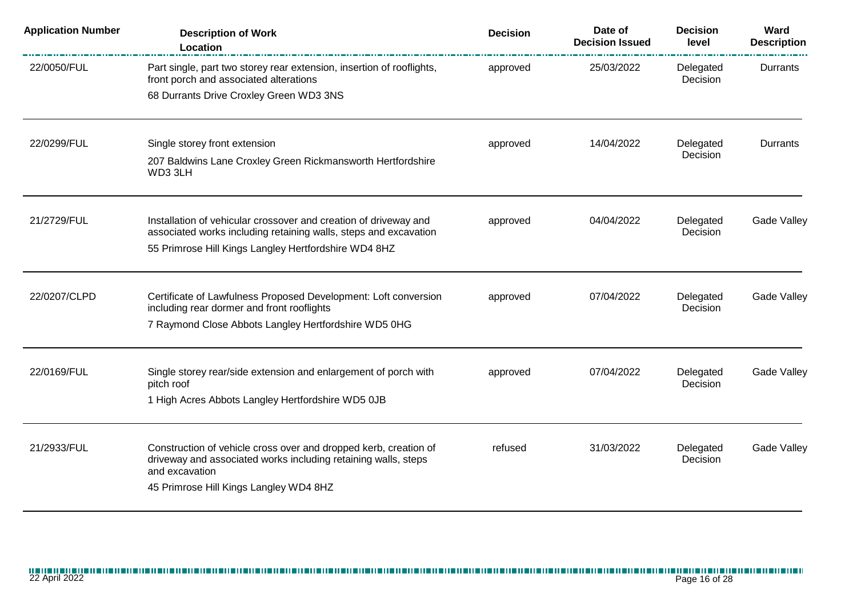| <b>Application Number</b> | <b>Description of Work</b><br>Location                                                                                   | <b>Decision</b> | Date of<br><b>Decision Issued</b> | <b>Decision</b><br>level | Ward<br><b>Description</b> |
|---------------------------|--------------------------------------------------------------------------------------------------------------------------|-----------------|-----------------------------------|--------------------------|----------------------------|
| 22/0050/FUL               | Part single, part two storey rear extension, insertion of rooflights,<br>front porch and associated alterations          | approved        | 25/03/2022                        | Delegated<br>Decision    | Durrants                   |
|                           | 68 Durrants Drive Croxley Green WD3 3NS                                                                                  |                 |                                   |                          |                            |
| 22/0299/FUL               | Single storey front extension                                                                                            | approved        | 14/04/2022                        | Delegated                | Durrants                   |
|                           | 207 Baldwins Lane Croxley Green Rickmansworth Hertfordshire<br>WD3 3LH                                                   |                 |                                   | Decision                 |                            |
| 21/2729/FUL               | Installation of vehicular crossover and creation of driveway and                                                         | approved        | 04/04/2022                        | Delegated<br>Decision    | Gade Valley                |
|                           | associated works including retaining walls, steps and excavation<br>55 Primrose Hill Kings Langley Hertfordshire WD4 8HZ |                 |                                   |                          |                            |
| 22/0207/CLPD              | Certificate of Lawfulness Proposed Development: Loft conversion<br>including rear dormer and front rooflights            | approved        | 07/04/2022                        | Delegated<br>Decision    | Gade Valley                |
|                           | 7 Raymond Close Abbots Langley Hertfordshire WD5 0HG                                                                     |                 |                                   |                          |                            |
| 22/0169/FUL               | Single storey rear/side extension and enlargement of porch with                                                          | approved        | 07/04/2022                        | Delegated                | Gade Valley                |
|                           | pitch roof<br>1 High Acres Abbots Langley Hertfordshire WD5 0JB                                                          |                 |                                   | Decision                 |                            |
| 21/2933/FUL               | Construction of vehicle cross over and dropped kerb, creation of                                                         | refused         | 31/03/2022                        | Delegated                | Gade Valley                |
|                           | driveway and associated works including retaining walls, steps<br>and excavation                                         |                 |                                   | Decision                 |                            |
|                           | 45 Primrose Hill Kings Langley WD4 8HZ                                                                                   |                 |                                   |                          |                            |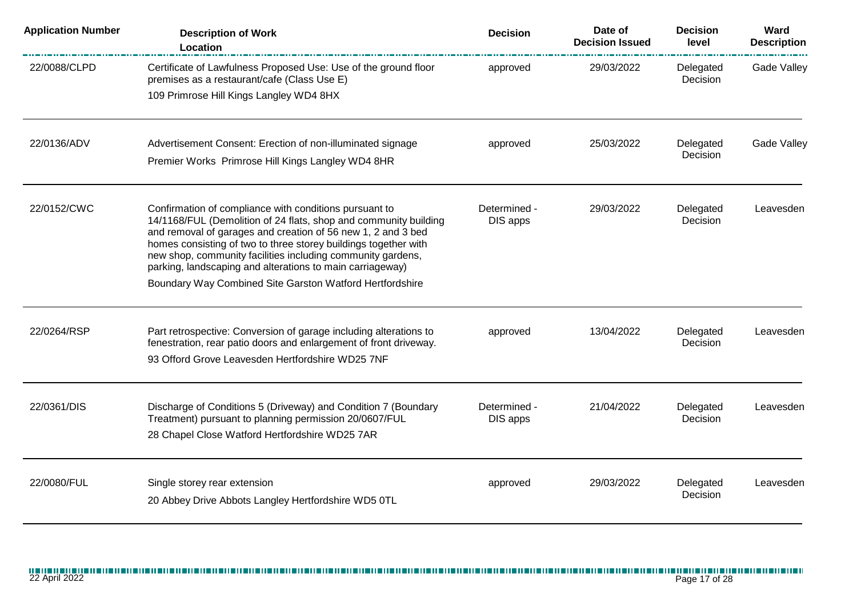| <b>Application Number</b> | <b>Description of Work</b><br>Location                                                                                                                                                                                                                                                                                                                                                                                                                | <b>Decision</b>          | Date of<br><b>Decision Issued</b> | <b>Decision</b><br>level | Ward<br><b>Description</b> |
|---------------------------|-------------------------------------------------------------------------------------------------------------------------------------------------------------------------------------------------------------------------------------------------------------------------------------------------------------------------------------------------------------------------------------------------------------------------------------------------------|--------------------------|-----------------------------------|--------------------------|----------------------------|
| 22/0088/CLPD              | Certificate of Lawfulness Proposed Use: Use of the ground floor<br>premises as a restaurant/cafe (Class Use E)<br>109 Primrose Hill Kings Langley WD4 8HX                                                                                                                                                                                                                                                                                             | approved                 | 29/03/2022                        | Delegated<br>Decision    | <b>Gade Valley</b>         |
| 22/0136/ADV               | Advertisement Consent: Erection of non-illuminated signage<br>Premier Works Primrose Hill Kings Langley WD4 8HR                                                                                                                                                                                                                                                                                                                                       | approved                 | 25/03/2022                        | Delegated<br>Decision    | <b>Gade Valley</b>         |
| 22/0152/CWC               | Confirmation of compliance with conditions pursuant to<br>14/1168/FUL (Demolition of 24 flats, shop and community building<br>and removal of garages and creation of 56 new 1, 2 and 3 bed<br>homes consisting of two to three storey buildings together with<br>new shop, community facilities including community gardens,<br>parking, landscaping and alterations to main carriageway)<br>Boundary Way Combined Site Garston Watford Hertfordshire | Determined -<br>DIS apps | 29/03/2022                        | Delegated<br>Decision    | Leavesden                  |
| 22/0264/RSP               | Part retrospective: Conversion of garage including alterations to<br>fenestration, rear patio doors and enlargement of front driveway.<br>93 Offord Grove Leavesden Hertfordshire WD25 7NF                                                                                                                                                                                                                                                            | approved                 | 13/04/2022                        | Delegated<br>Decision    | Leavesden                  |
| 22/0361/DIS               | Discharge of Conditions 5 (Driveway) and Condition 7 (Boundary<br>Treatment) pursuant to planning permission 20/0607/FUL<br>28 Chapel Close Watford Hertfordshire WD25 7AR                                                                                                                                                                                                                                                                            | Determined -<br>DIS apps | 21/04/2022                        | Delegated<br>Decision    | Leavesden                  |
| 22/0080/FUL               | Single storey rear extension<br>20 Abbey Drive Abbots Langley Hertfordshire WD5 0TL                                                                                                                                                                                                                                                                                                                                                                   | approved                 | 29/03/2022                        | Delegated<br>Decision    | Leavesden                  |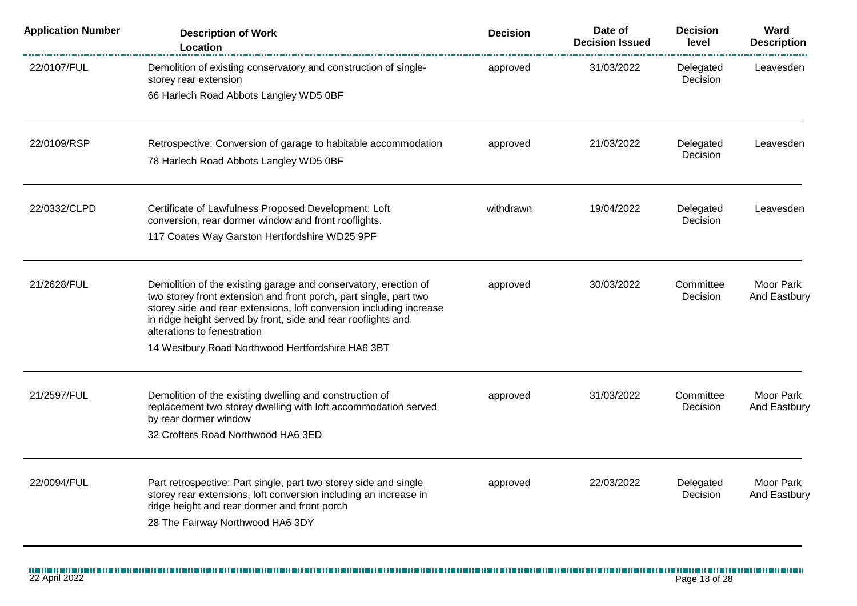| <b>Application Number</b> | <b>Description of Work</b><br>Location                                                                                                                                                                                                                                                                      | <b>Decision</b> | Date of<br><b>Decision Issued</b> | <b>Decision</b><br>level     | Ward<br><b>Description</b> |
|---------------------------|-------------------------------------------------------------------------------------------------------------------------------------------------------------------------------------------------------------------------------------------------------------------------------------------------------------|-----------------|-----------------------------------|------------------------------|----------------------------|
| 22/0107/FUL               | Demolition of existing conservatory and construction of single-<br>storey rear extension                                                                                                                                                                                                                    | approved        | 31/03/2022                        | Delegated<br>Decision        | Leavesden                  |
|                           | 66 Harlech Road Abbots Langley WD5 0BF                                                                                                                                                                                                                                                                      |                 |                                   |                              |                            |
| 22/0109/RSP               | Retrospective: Conversion of garage to habitable accommodation                                                                                                                                                                                                                                              | approved        | 21/03/2022                        | Delegated<br>Decision        | Leavesden                  |
|                           | 78 Harlech Road Abbots Langley WD5 0BF                                                                                                                                                                                                                                                                      |                 |                                   |                              |                            |
| 22/0332/CLPD              | Certificate of Lawfulness Proposed Development: Loft<br>conversion, rear dormer window and front rooflights.                                                                                                                                                                                                | withdrawn       | 19/04/2022                        | Delegated<br>Decision        | Leavesden                  |
|                           | 117 Coates Way Garston Hertfordshire WD25 9PF                                                                                                                                                                                                                                                               |                 |                                   |                              |                            |
| 21/2628/FUL               | Demolition of the existing garage and conservatory, erection of<br>two storey front extension and front porch, part single, part two<br>storey side and rear extensions, loft conversion including increase<br>in ridge height served by front, side and rear rooflights and<br>alterations to fenestration | approved        | 30/03/2022                        | Committee<br>Decision        | Moor Park<br>And Eastbury  |
|                           | 14 Westbury Road Northwood Hertfordshire HA6 3BT                                                                                                                                                                                                                                                            |                 |                                   |                              |                            |
| 21/2597/FUL               | Demolition of the existing dwelling and construction of<br>replacement two storey dwelling with loft accommodation served<br>by rear dormer window                                                                                                                                                          | approved        | 31/03/2022                        | Committee<br><b>Decision</b> | Moor Park<br>And Eastbury  |
|                           | 32 Crofters Road Northwood HA6 3ED                                                                                                                                                                                                                                                                          |                 |                                   |                              |                            |
| 22/0094/FUL               | Part retrospective: Part single, part two storey side and single<br>storey rear extensions, loft conversion including an increase in<br>ridge height and rear dormer and front porch<br>28 The Fairway Northwood HA6 3DY                                                                                    | approved        | 22/03/2022                        | Delegated<br>Decision        | Moor Park<br>And Eastbury  |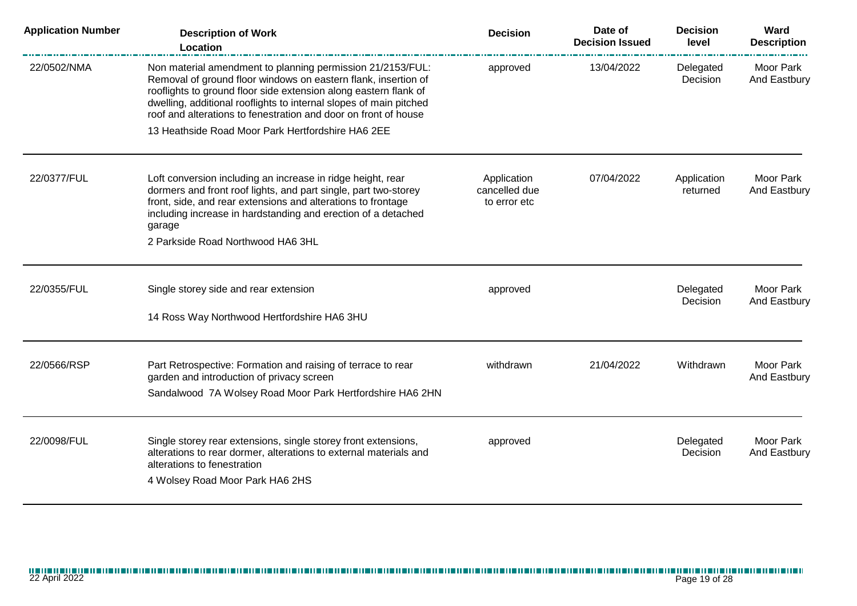| <b>Application Number</b> | <b>Description of Work</b><br>Location                                                                                                                                                                                                                                                                                                    | <b>Decision</b>                              | Date of<br><b>Decision Issued</b> | <b>Decision</b><br>level | Ward<br><b>Description</b> |
|---------------------------|-------------------------------------------------------------------------------------------------------------------------------------------------------------------------------------------------------------------------------------------------------------------------------------------------------------------------------------------|----------------------------------------------|-----------------------------------|--------------------------|----------------------------|
| 22/0502/NMA               | Non material amendment to planning permission 21/2153/FUL:<br>Removal of ground floor windows on eastern flank, insertion of<br>rooflights to ground floor side extension along eastern flank of<br>dwelling, additional rooflights to internal slopes of main pitched<br>roof and alterations to fenestration and door on front of house | approved                                     | 13/04/2022                        | Delegated<br>Decision    | Moor Park<br>And Eastbury  |
|                           | 13 Heathside Road Moor Park Hertfordshire HA6 2EE                                                                                                                                                                                                                                                                                         |                                              |                                   |                          |                            |
| 22/0377/FUL               | Loft conversion including an increase in ridge height, rear<br>dormers and front roof lights, and part single, part two-storey<br>front, side, and rear extensions and alterations to frontage<br>including increase in hardstanding and erection of a detached<br>garage<br>2 Parkside Road Northwood HA6 3HL                            | Application<br>cancelled due<br>to error etc | 07/04/2022                        | Application<br>returned  | Moor Park<br>And Eastbury  |
| 22/0355/FUL               | Single storey side and rear extension<br>14 Ross Way Northwood Hertfordshire HA6 3HU                                                                                                                                                                                                                                                      | approved                                     |                                   | Delegated<br>Decision    | Moor Park<br>And Eastbury  |
| 22/0566/RSP               | Part Retrospective: Formation and raising of terrace to rear<br>garden and introduction of privacy screen<br>Sandalwood 7A Wolsey Road Moor Park Hertfordshire HA6 2HN                                                                                                                                                                    | withdrawn                                    | 21/04/2022                        | Withdrawn                | Moor Park<br>And Eastbury  |
| 22/0098/FUL               | Single storey rear extensions, single storey front extensions,<br>alterations to rear dormer, alterations to external materials and<br>alterations to fenestration<br>4 Wolsey Road Moor Park HA6 2HS                                                                                                                                     | approved                                     |                                   | Delegated<br>Decision    | Moor Park<br>And Eastbury  |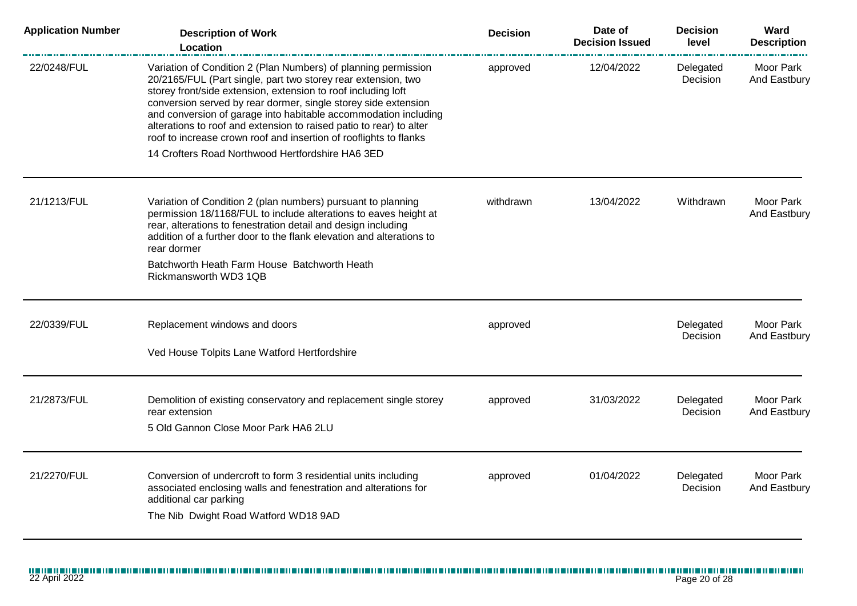| <b>Application Number</b> | <b>Description of Work</b><br>Location                                                                                                                                                                                                                                                                                                                                                                                                                                            | <b>Decision</b> | Date of<br><b>Decision Issued</b> | <b>Decision</b><br>level | Ward<br><b>Description</b> |
|---------------------------|-----------------------------------------------------------------------------------------------------------------------------------------------------------------------------------------------------------------------------------------------------------------------------------------------------------------------------------------------------------------------------------------------------------------------------------------------------------------------------------|-----------------|-----------------------------------|--------------------------|----------------------------|
| 22/0248/FUL               | Variation of Condition 2 (Plan Numbers) of planning permission<br>20/2165/FUL (Part single, part two storey rear extension, two<br>storey front/side extension, extension to roof including loft<br>conversion served by rear dormer, single storey side extension<br>and conversion of garage into habitable accommodation including<br>alterations to roof and extension to raised patio to rear) to alter<br>roof to increase crown roof and insertion of rooflights to flanks | approved        | 12/04/2022                        | Delegated<br>Decision    | Moor Park<br>And Eastbury  |
|                           | 14 Crofters Road Northwood Hertfordshire HA6 3ED                                                                                                                                                                                                                                                                                                                                                                                                                                  |                 |                                   |                          |                            |
| 21/1213/FUL               | Variation of Condition 2 (plan numbers) pursuant to planning<br>permission 18/1168/FUL to include alterations to eaves height at<br>rear, alterations to fenestration detail and design including<br>addition of a further door to the flank elevation and alterations to<br>rear dormer                                                                                                                                                                                          | withdrawn       | 13/04/2022                        | Withdrawn                | Moor Park<br>And Eastbury  |
|                           | Batchworth Heath Farm House Batchworth Heath<br>Rickmansworth WD3 1QB                                                                                                                                                                                                                                                                                                                                                                                                             |                 |                                   |                          |                            |
| 22/0339/FUL               | Replacement windows and doors                                                                                                                                                                                                                                                                                                                                                                                                                                                     | approved        |                                   | Delegated<br>Decision    | Moor Park<br>And Eastbury  |
|                           | Ved House Tolpits Lane Watford Hertfordshire                                                                                                                                                                                                                                                                                                                                                                                                                                      |                 |                                   |                          |                            |
| 21/2873/FUL               | Demolition of existing conservatory and replacement single storey<br>rear extension<br>5 Old Gannon Close Moor Park HA6 2LU                                                                                                                                                                                                                                                                                                                                                       | approved        | 31/03/2022                        | Delegated<br>Decision    | Moor Park<br>And Eastbury  |
|                           |                                                                                                                                                                                                                                                                                                                                                                                                                                                                                   |                 |                                   |                          |                            |
| 21/2270/FUL               | Conversion of undercroft to form 3 residential units including<br>associated enclosing walls and fenestration and alterations for<br>additional car parking<br>The Nib Dwight Road Watford WD18 9AD                                                                                                                                                                                                                                                                               | approved        | 01/04/2022                        | Delegated<br>Decision    | Moor Park<br>And Eastbury  |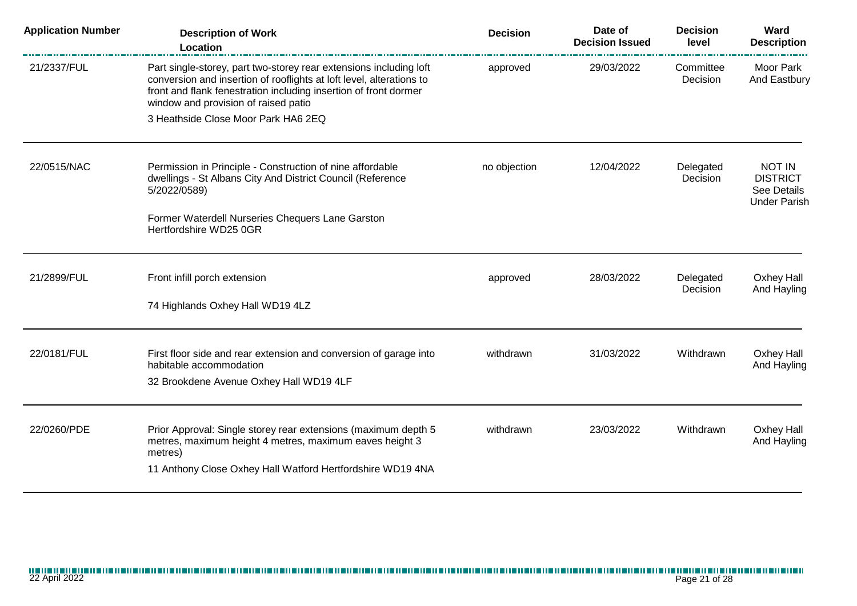| <b>Application Number</b> | <b>Description of Work</b><br><b>Location</b>                                                                                                                                                                                                          | <b>Decision</b> | Date of<br><b>Decision Issued</b> | <b>Decision</b><br>level | Ward<br><b>Description</b>                                      |
|---------------------------|--------------------------------------------------------------------------------------------------------------------------------------------------------------------------------------------------------------------------------------------------------|-----------------|-----------------------------------|--------------------------|-----------------------------------------------------------------|
| 21/2337/FUL               | Part single-storey, part two-storey rear extensions including loft<br>conversion and insertion of rooflights at loft level, alterations to<br>front and flank fenestration including insertion of front dormer<br>window and provision of raised patio | approved        | 29/03/2022                        | Committee<br>Decision    | Moor Park<br>And Eastbury                                       |
|                           | 3 Heathside Close Moor Park HA6 2EQ                                                                                                                                                                                                                    |                 |                                   |                          |                                                                 |
| 22/0515/NAC               | Permission in Principle - Construction of nine affordable<br>dwellings - St Albans City And District Council (Reference<br>5/2022/0589)                                                                                                                | no objection    | 12/04/2022                        | Delegated<br>Decision    | NOT IN<br><b>DISTRICT</b><br>See Details<br><b>Under Parish</b> |
|                           | Former Waterdell Nurseries Chequers Lane Garston<br>Hertfordshire WD25 0GR                                                                                                                                                                             |                 |                                   |                          |                                                                 |
| 21/2899/FUL               | Front infill porch extension                                                                                                                                                                                                                           | approved        | 28/03/2022                        | Delegated<br>Decision    | Oxhey Hall<br>And Hayling                                       |
|                           | 74 Highlands Oxhey Hall WD19 4LZ                                                                                                                                                                                                                       |                 |                                   |                          |                                                                 |
| 22/0181/FUL               | First floor side and rear extension and conversion of garage into<br>habitable accommodation<br>32 Brookdene Avenue Oxhey Hall WD19 4LF                                                                                                                | withdrawn       | 31/03/2022                        | Withdrawn                | Oxhey Hall<br>And Hayling                                       |
| 22/0260/PDE               | Prior Approval: Single storey rear extensions (maximum depth 5<br>metres, maximum height 4 metres, maximum eaves height 3<br>metres)<br>11 Anthony Close Oxhey Hall Watford Hertfordshire WD19 4NA                                                     | withdrawn       | 23/03/2022                        | Withdrawn                | Oxhey Hall<br>And Hayling                                       |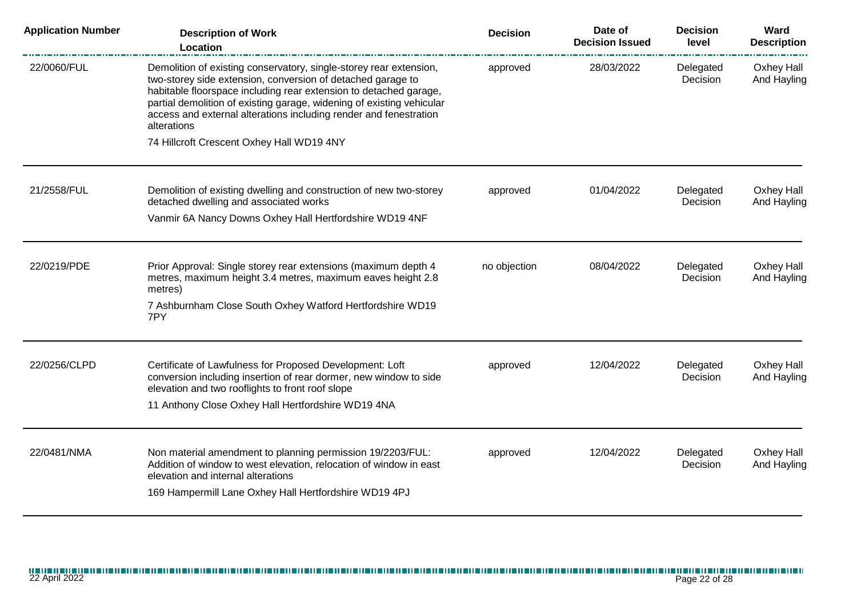| <b>Application Number</b> | <b>Description of Work</b><br>Location                                                                                                                                                                                                                                                                                                                              | <b>Decision</b> | Date of<br><b>Decision Issued</b> | <b>Decision</b><br>level | Ward<br><b>Description</b> |
|---------------------------|---------------------------------------------------------------------------------------------------------------------------------------------------------------------------------------------------------------------------------------------------------------------------------------------------------------------------------------------------------------------|-----------------|-----------------------------------|--------------------------|----------------------------|
| 22/0060/FUL               | Demolition of existing conservatory, single-storey rear extension,<br>two-storey side extension, conversion of detached garage to<br>habitable floorspace including rear extension to detached garage,<br>partial demolition of existing garage, widening of existing vehicular<br>access and external alterations including render and fenestration<br>alterations | approved        | 28/03/2022                        | Delegated<br>Decision    | Oxhey Hall<br>And Hayling  |
|                           | 74 Hillcroft Crescent Oxhey Hall WD19 4NY                                                                                                                                                                                                                                                                                                                           |                 |                                   |                          |                            |
| 21/2558/FUL               | Demolition of existing dwelling and construction of new two-storey<br>detached dwelling and associated works                                                                                                                                                                                                                                                        | approved        | 01/04/2022                        | Delegated<br>Decision    | Oxhey Hall<br>And Hayling  |
|                           | Vanmir 6A Nancy Downs Oxhey Hall Hertfordshire WD19 4NF                                                                                                                                                                                                                                                                                                             |                 |                                   |                          |                            |
| 22/0219/PDE               | Prior Approval: Single storey rear extensions (maximum depth 4<br>metres, maximum height 3.4 metres, maximum eaves height 2.8<br>metres)                                                                                                                                                                                                                            | no objection    | 08/04/2022                        | Delegated<br>Decision    | Oxhey Hall<br>And Hayling  |
|                           | 7 Ashburnham Close South Oxhey Watford Hertfordshire WD19<br>7PY                                                                                                                                                                                                                                                                                                    |                 |                                   |                          |                            |
| 22/0256/CLPD              | Certificate of Lawfulness for Proposed Development: Loft                                                                                                                                                                                                                                                                                                            | approved        | 12/04/2022                        | Delegated                | Oxhey Hall                 |
|                           | conversion including insertion of rear dormer, new window to side<br>elevation and two rooflights to front roof slope                                                                                                                                                                                                                                               |                 |                                   | Decision                 | And Hayling                |
|                           | 11 Anthony Close Oxhey Hall Hertfordshire WD19 4NA                                                                                                                                                                                                                                                                                                                  |                 |                                   |                          |                            |
| 22/0481/NMA               | Non material amendment to planning permission 19/2203/FUL:<br>Addition of window to west elevation, relocation of window in east<br>elevation and internal alterations<br>169 Hampermill Lane Oxhey Hall Hertfordshire WD19 4PJ                                                                                                                                     | approved        | 12/04/2022                        | Delegated<br>Decision    | Oxhey Hall<br>And Hayling  |
|                           |                                                                                                                                                                                                                                                                                                                                                                     |                 |                                   |                          |                            |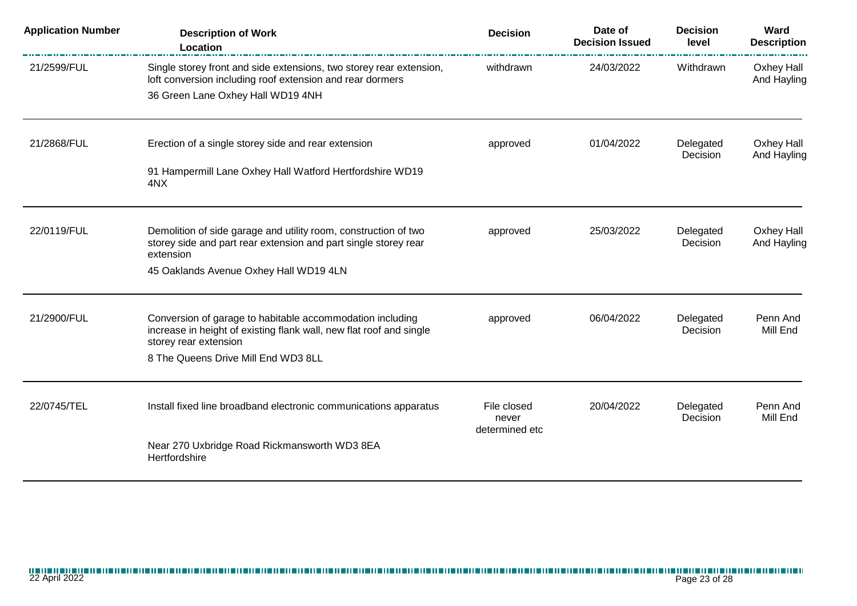| <b>Application Number</b> | <b>Description of Work</b><br>Location                                                                                                                    | <b>Decision</b>                        | Date of<br><b>Decision Issued</b> | <b>Decision</b><br>level     | Ward<br><b>Description</b> |
|---------------------------|-----------------------------------------------------------------------------------------------------------------------------------------------------------|----------------------------------------|-----------------------------------|------------------------------|----------------------------|
| 21/2599/FUL               | Single storey front and side extensions, two storey rear extension,<br>loft conversion including roof extension and rear dormers                          | withdrawn                              | 24/03/2022                        | Withdrawn                    | Oxhey Hall<br>And Hayling  |
|                           | 36 Green Lane Oxhey Hall WD19 4NH                                                                                                                         |                                        |                                   |                              |                            |
| 21/2868/FUL               | Erection of a single storey side and rear extension                                                                                                       | approved                               | 01/04/2022                        | Delegated<br>Decision        | Oxhey Hall<br>And Hayling  |
|                           | 91 Hampermill Lane Oxhey Hall Watford Hertfordshire WD19<br>4NX                                                                                           |                                        |                                   |                              |                            |
| 22/0119/FUL               | Demolition of side garage and utility room, construction of two<br>storey side and part rear extension and part single storey rear<br>extension           | approved                               | 25/03/2022                        | Delegated<br>Decision        | Oxhey Hall<br>And Hayling  |
|                           | 45 Oaklands Avenue Oxhey Hall WD19 4LN                                                                                                                    |                                        |                                   |                              |                            |
| 21/2900/FUL               | Conversion of garage to habitable accommodation including<br>increase in height of existing flank wall, new flat roof and single<br>storey rear extension | approved                               | 06/04/2022                        | Delegated<br>Decision        | Penn And<br>Mill End       |
|                           | 8 The Queens Drive Mill End WD3 8LL                                                                                                                       |                                        |                                   |                              |                            |
| 22/0745/TEL               | Install fixed line broadband electronic communications apparatus                                                                                          | File closed<br>never<br>determined etc | 20/04/2022                        | Delegated<br><b>Decision</b> | Penn And<br>Mill End       |
|                           | Near 270 Uxbridge Road Rickmansworth WD3 8EA<br>Hertfordshire                                                                                             |                                        |                                   |                              |                            |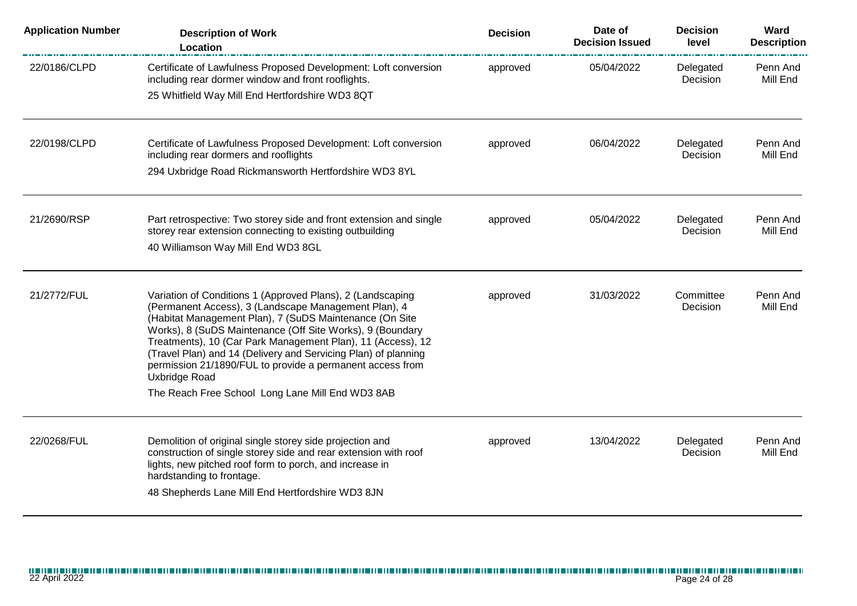| <b>Application Number</b> | <b>Description of Work</b><br>Location                                                                                                                                                                                                                                                                                                                                                                                                                    | <b>Decision</b> | Date of<br><b>Decision Issued</b> | <b>Decision</b><br>level | Ward<br><b>Description</b> |
|---------------------------|-----------------------------------------------------------------------------------------------------------------------------------------------------------------------------------------------------------------------------------------------------------------------------------------------------------------------------------------------------------------------------------------------------------------------------------------------------------|-----------------|-----------------------------------|--------------------------|----------------------------|
| 22/0186/CLPD              | Certificate of Lawfulness Proposed Development: Loft conversion<br>including rear dormer window and front rooflights.<br>25 Whitfield Way Mill End Hertfordshire WD3 8QT                                                                                                                                                                                                                                                                                  | approved        | 05/04/2022                        | Delegated<br>Decision    | Penn And<br>Mill End       |
|                           |                                                                                                                                                                                                                                                                                                                                                                                                                                                           |                 |                                   |                          |                            |
| 22/0198/CLPD              | Certificate of Lawfulness Proposed Development: Loft conversion<br>including rear dormers and rooflights                                                                                                                                                                                                                                                                                                                                                  | approved        | 06/04/2022                        | Delegated<br>Decision    | Penn And<br>Mill End       |
|                           | 294 Uxbridge Road Rickmansworth Hertfordshire WD3 8YL                                                                                                                                                                                                                                                                                                                                                                                                     |                 |                                   |                          |                            |
| 21/2690/RSP               | Part retrospective: Two storey side and front extension and single                                                                                                                                                                                                                                                                                                                                                                                        | approved        | 05/04/2022                        | Delegated<br>Decision    | Penn And<br>Mill End       |
|                           | storey rear extension connecting to existing outbuilding<br>40 Williamson Way Mill End WD3 8GL                                                                                                                                                                                                                                                                                                                                                            |                 |                                   |                          |                            |
| 21/2772/FUL               | Variation of Conditions 1 (Approved Plans), 2 (Landscaping<br>(Permanent Access), 3 (Landscape Management Plan), 4<br>(Habitat Management Plan), 7 (SuDS Maintenance (On Site<br>Works), 8 (SuDS Maintenance (Off Site Works), 9 (Boundary<br>Treatments), 10 (Car Park Management Plan), 11 (Access), 12<br>(Travel Plan) and 14 (Delivery and Servicing Plan) of planning<br>permission 21/1890/FUL to provide a permanent access from<br>Uxbridge Road | approved        | 31/03/2022                        | Committee<br>Decision    | Penn And<br>Mill End       |
|                           | The Reach Free School Long Lane Mill End WD3 8AB                                                                                                                                                                                                                                                                                                                                                                                                          |                 |                                   |                          |                            |
| 22/0268/FUL               | Demolition of original single storey side projection and<br>construction of single storey side and rear extension with roof<br>lights, new pitched roof form to porch, and increase in<br>hardstanding to frontage.<br>48 Shepherds Lane Mill End Hertfordshire WD3 8JN                                                                                                                                                                                   | approved        | 13/04/2022                        | Delegated<br>Decision    | Penn And<br>Mill End       |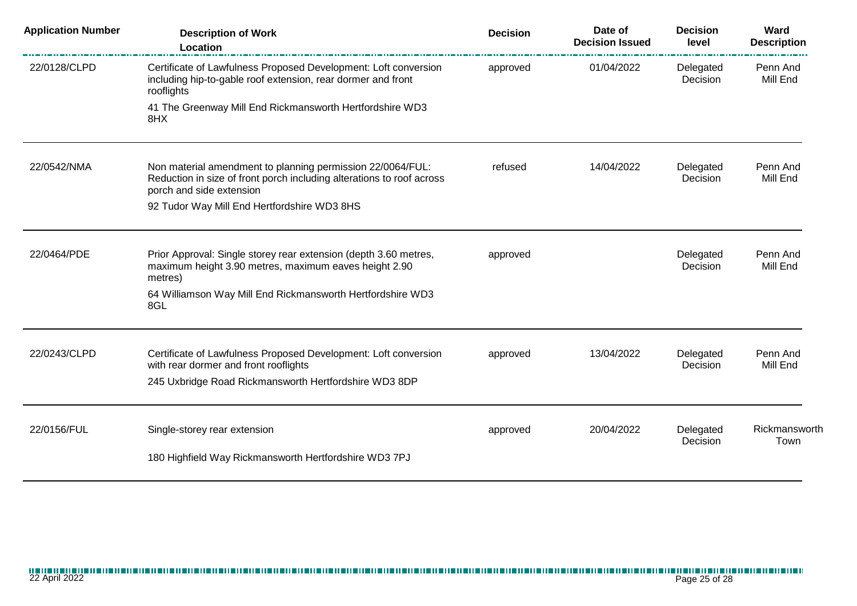| <b>Application Number</b> | <b>Description of Work</b><br>Location                                                                                                                            | <b>Decision</b> | Date of<br><b>Decision Issued</b> | <b>Decision</b><br>level | Ward<br><b>Description</b> |
|---------------------------|-------------------------------------------------------------------------------------------------------------------------------------------------------------------|-----------------|-----------------------------------|--------------------------|----------------------------|
| 22/0128/CLPD              | Certificate of Lawfulness Proposed Development: Loft conversion<br>including hip-to-gable roof extension, rear dormer and front<br>rooflights                     | approved        | 01/04/2022                        | Delegated<br>Decision    | Penn And<br>Mill End       |
|                           | 41 The Greenway Mill End Rickmansworth Hertfordshire WD3<br>8HX                                                                                                   |                 |                                   |                          |                            |
| 22/0542/NMA               | Non material amendment to planning permission 22/0064/FUL:<br>Reduction in size of front porch including alterations to roof across<br>porch and side extension   | refused         | 14/04/2022                        | Delegated<br>Decision    | Penn And<br>Mill End       |
|                           | 92 Tudor Way Mill End Hertfordshire WD3 8HS                                                                                                                       |                 |                                   |                          |                            |
| 22/0464/PDE               | Prior Approval: Single storey rear extension (depth 3.60 metres,<br>maximum height 3.90 metres, maximum eaves height 2.90<br>metres)                              | approved        |                                   | Delegated<br>Decision    | Penn And<br>Mill End       |
|                           | 64 Williamson Way Mill End Rickmansworth Hertfordshire WD3<br>8GL                                                                                                 |                 |                                   |                          |                            |
| 22/0243/CLPD              | Certificate of Lawfulness Proposed Development: Loft conversion<br>with rear dormer and front rooflights<br>245 Uxbridge Road Rickmansworth Hertfordshire WD3 8DP | approved        | 13/04/2022                        | Delegated<br>Decision    | Penn And<br>Mill End       |
| 22/0156/FUL               | Single-storey rear extension                                                                                                                                      |                 | 20/04/2022                        | Delegated                | Rickmansworth              |
|                           |                                                                                                                                                                   | approved        |                                   | Decision                 | Town                       |
|                           | 180 Highfield Way Rickmansworth Hertfordshire WD3 7PJ                                                                                                             |                 |                                   |                          |                            |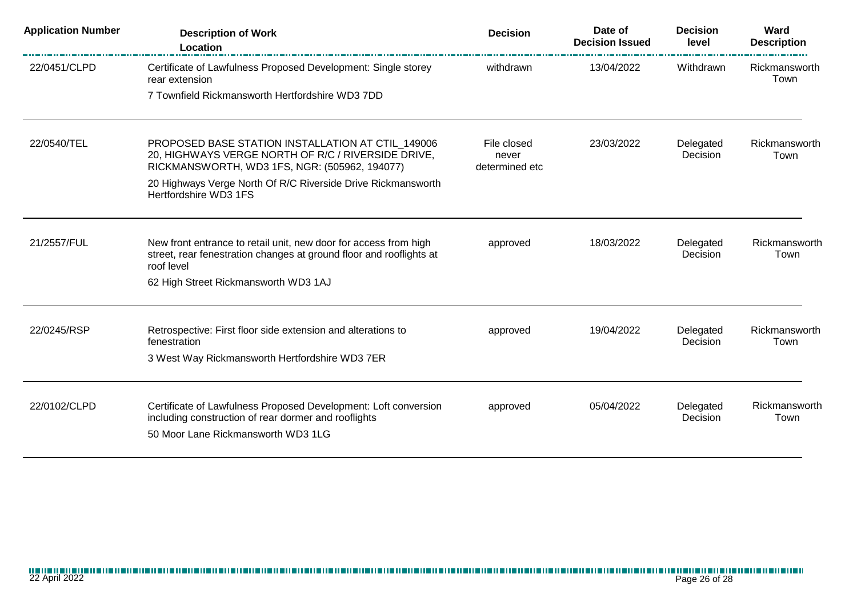| <b>Application Number</b> | <b>Description of Work</b><br>Location                                                                                                                        | <b>Decision</b>                        | Date of<br><b>Decision Issued</b> | <b>Decision</b><br>level | Ward<br><b>Description</b> |
|---------------------------|---------------------------------------------------------------------------------------------------------------------------------------------------------------|----------------------------------------|-----------------------------------|--------------------------|----------------------------|
| 22/0451/CLPD              | Certificate of Lawfulness Proposed Development: Single storey<br>rear extension                                                                               | withdrawn                              | 13/04/2022                        | Withdrawn                | Rickmansworth<br>Town      |
|                           | 7 Townfield Rickmansworth Hertfordshire WD3 7DD                                                                                                               |                                        |                                   |                          |                            |
| 22/0540/TEL               | PROPOSED BASE STATION INSTALLATION AT CTIL_149006<br>20, HIGHWAYS VERGE NORTH OF R/C / RIVERSIDE DRIVE,<br>RICKMANSWORTH, WD3 1FS, NGR: (505962, 194077)      | File closed<br>never<br>determined etc | 23/03/2022                        | Delegated<br>Decision    | Rickmansworth<br>Town      |
|                           | 20 Highways Verge North Of R/C Riverside Drive Rickmansworth<br>Hertfordshire WD3 1FS                                                                         |                                        |                                   |                          |                            |
| 21/2557/FUL               | New front entrance to retail unit, new door for access from high<br>street, rear fenestration changes at ground floor and rooflights at<br>roof level         | approved                               | 18/03/2022                        | Delegated<br>Decision    | Rickmansworth<br>Town      |
|                           | 62 High Street Rickmansworth WD3 1AJ                                                                                                                          |                                        |                                   |                          |                            |
| 22/0245/RSP               | Retrospective: First floor side extension and alterations to<br>fenestration                                                                                  | approved                               | 19/04/2022                        | Delegated<br>Decision    | Rickmansworth<br>Town      |
|                           | 3 West Way Rickmansworth Hertfordshire WD3 7ER                                                                                                                |                                        |                                   |                          |                            |
| 22/0102/CLPD              | Certificate of Lawfulness Proposed Development: Loft conversion<br>including construction of rear dormer and rooflights<br>50 Moor Lane Rickmansworth WD3 1LG | approved                               | 05/04/2022                        | Delegated<br>Decision    | Rickmansworth<br>Town      |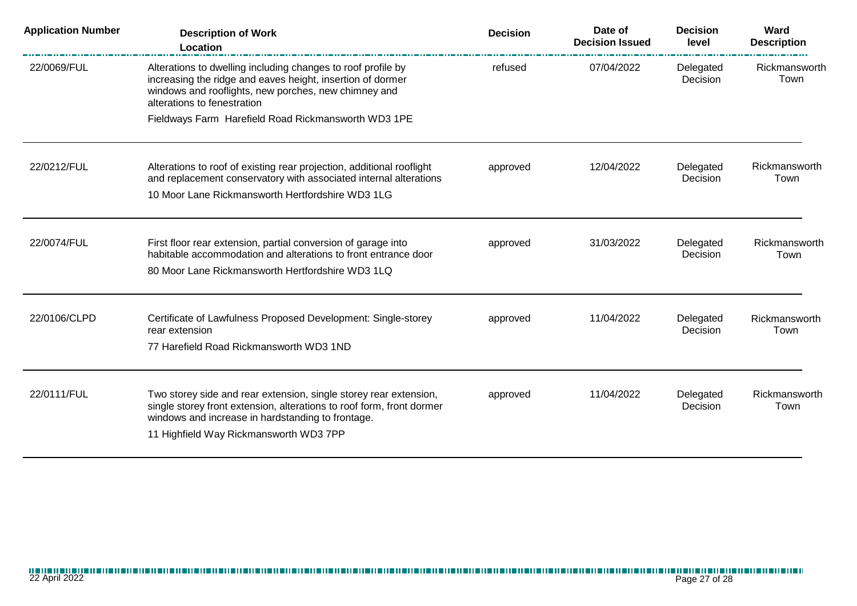| <b>Application Number</b> | <b>Description of Work</b><br>Location                                                                                                                                                                                                    | <b>Decision</b> | Date of<br><b>Decision Issued</b> | <b>Decision</b><br>level | Ward<br><b>Description</b> |
|---------------------------|-------------------------------------------------------------------------------------------------------------------------------------------------------------------------------------------------------------------------------------------|-----------------|-----------------------------------|--------------------------|----------------------------|
| 22/0069/FUL               | Alterations to dwelling including changes to roof profile by<br>increasing the ridge and eaves height, insertion of dormer<br>windows and rooflights, new porches, new chimney and<br>alterations to fenestration                         | refused         | 07/04/2022                        | Delegated<br>Decision    | Rickmansworth<br>Town      |
|                           | Fieldways Farm Harefield Road Rickmansworth WD3 1PE                                                                                                                                                                                       |                 |                                   |                          |                            |
| 22/0212/FUL               | Alterations to roof of existing rear projection, additional rooflight<br>and replacement conservatory with associated internal alterations                                                                                                | approved        | 12/04/2022                        | Delegated<br>Decision    | Rickmansworth<br>Town      |
|                           | 10 Moor Lane Rickmansworth Hertfordshire WD3 1LG                                                                                                                                                                                          |                 |                                   |                          |                            |
| 22/0074/FUL               | First floor rear extension, partial conversion of garage into<br>habitable accommodation and alterations to front entrance door                                                                                                           | approved        | 31/03/2022                        | Delegated<br>Decision    | Rickmansworth<br>Town      |
|                           | 80 Moor Lane Rickmansworth Hertfordshire WD3 1LQ                                                                                                                                                                                          |                 |                                   |                          |                            |
| 22/0106/CLPD              | Certificate of Lawfulness Proposed Development: Single-storey<br>rear extension                                                                                                                                                           | approved        | 11/04/2022                        | Delegated<br>Decision    | Rickmansworth<br>Town      |
|                           | 77 Harefield Road Rickmansworth WD3 1ND                                                                                                                                                                                                   |                 |                                   |                          |                            |
| 22/0111/FUL               | Two storey side and rear extension, single storey rear extension,<br>single storey front extension, alterations to roof form, front dormer<br>windows and increase in hardstanding to frontage.<br>11 Highfield Way Rickmansworth WD3 7PP | approved        | 11/04/2022                        | Delegated<br>Decision    | Rickmansworth<br>Town      |